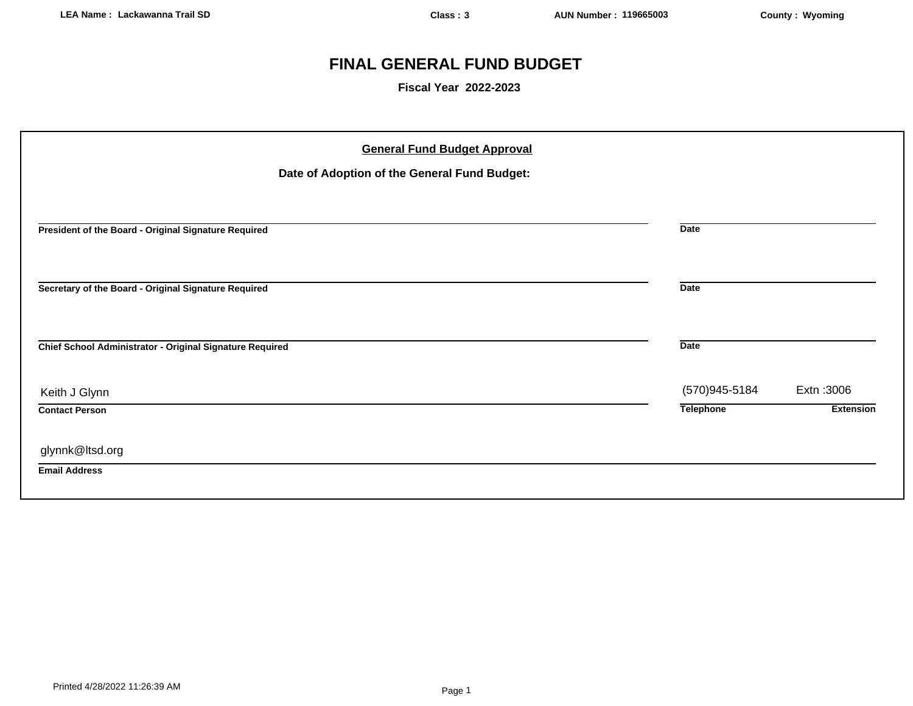## **FINAL GENERAL FUND BUDGET**

**Fiscal Year 2022-2023**

| <b>General Fund Budget Approval</b><br>Date of Adoption of the General Fund Budget: |                  |                  |
|-------------------------------------------------------------------------------------|------------------|------------------|
| President of the Board - Original Signature Required                                | <b>Date</b>      |                  |
| Secretary of the Board - Original Signature Required                                | <b>Date</b>      |                  |
| Chief School Administrator - Original Signature Required                            | <b>Date</b>      |                  |
| Keith J Glynn                                                                       | (570)945-5184    | Extn: 3006       |
| <b>Contact Person</b>                                                               | <b>Telephone</b> | <b>Extension</b> |
| glynnk@ltsd.org<br><b>Email Address</b>                                             |                  |                  |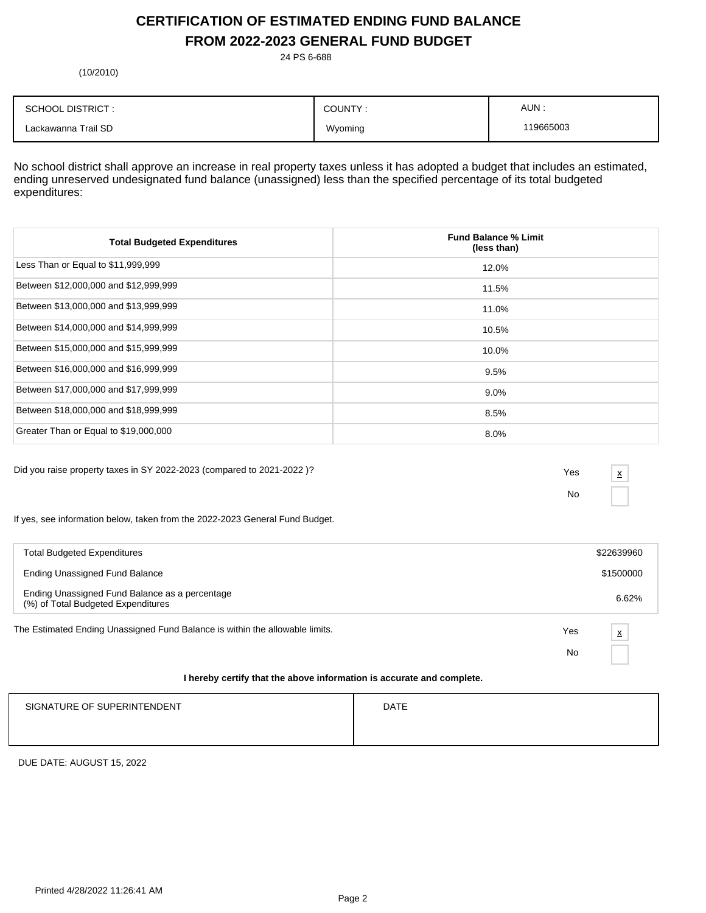## **CERTIFICATION OF ESTIMATED ENDING FUND BALANCE FROM 2022-2023 GENERAL FUND BUDGET**

24 PS 6-688

(10/2010)

| <b>SCHOOL DISTRICT:</b> | COUNTY: | AUN:      |
|-------------------------|---------|-----------|
| Lackawanna Trail SD     | Wyoming | 119665003 |

No school district shall approve an increase in real property taxes unless it has adopted a budget that includes an estimated, ending unreserved undesignated fund balance (unassigned) less than the specified percentage of its total budgeted expenditures:

| <b>Total Budgeted Expenditures</b>    | <b>Fund Balance % Limit</b><br>(less than) |
|---------------------------------------|--------------------------------------------|
| Less Than or Equal to \$11,999,999    | 12.0%                                      |
| Between \$12,000,000 and \$12,999,999 | 11.5%                                      |
| Between \$13,000,000 and \$13,999,999 | 11.0%                                      |
| Between \$14,000,000 and \$14,999,999 | 10.5%                                      |
| Between \$15,000,000 and \$15,999,999 | 10.0%                                      |
| Between \$16,000,000 and \$16,999,999 | 9.5%                                       |
| Between \$17,000,000 and \$17,999,999 | $9.0\%$                                    |
| Between \$18,000,000 and \$18,999,999 | 8.5%                                       |
| Greater Than or Equal to \$19,000,000 | 8.0%                                       |

Did you raise property taxes in SY 2022-2023 (compared to 2021-2022 )? Yes

No

x

If yes, see information below, taken from the 2022-2023 General Fund Budget.

| <b>Total Budgeted Expenditures</b>                                                   |     | \$22639960              |
|--------------------------------------------------------------------------------------|-----|-------------------------|
| <b>Ending Unassigned Fund Balance</b>                                                |     | \$1500000               |
| Ending Unassigned Fund Balance as a percentage<br>(%) of Total Budgeted Expenditures |     | 6.62%                   |
| The Estimated Ending Unassigned Fund Balance is within the allowable limits.         | Yes | $\overline{\mathbf{x}}$ |
|                                                                                      | No  |                         |
|                                                                                      |     |                         |

#### **I hereby certify that the above information is accurate and complete.**

| SIGNATURE OF SUPERINTENDENT | <b>DATE</b> |
|-----------------------------|-------------|
|                             |             |
|                             |             |

DUE DATE: AUGUST 15, 2022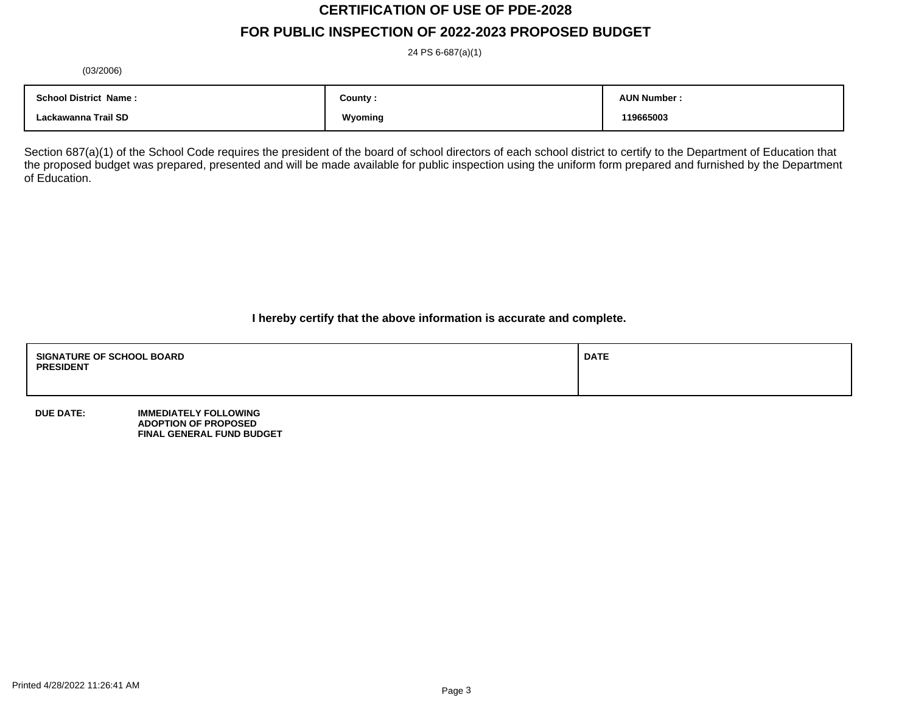# **CERTIFICATION OF USE OF PDE-2028**

## **FOR PUBLIC INSPECTION OF 2022-2023 PROPOSED BUDGET**

24 PS 6-687(a)(1)

(03/2006)

| <b>School District Name:</b> | County : | <b>AUN Number</b> |
|------------------------------|----------|-------------------|
| Lackawanna Trail SD          | Wyoming  | 119665003         |

Section 687(a)(1) of the School Code requires the president of the board of school directors of each school district to certify to the Department of Education that the proposed budget was prepared, presented and will be made available for public inspection using the uniform form prepared and furnished by the Department of Education.

**I hereby certify that the above information is accurate and complete.**

| <b>SIGNATURE OF SCHOOL BOARD</b><br><b>PRESIDENT</b> | <b>DATE</b> |
|------------------------------------------------------|-------------|
|                                                      |             |

**DUE DATE: IMMEDIATELY FOLLOWING ADOPTION OF PROPOSED FINAL GENERAL FUND BUDGET**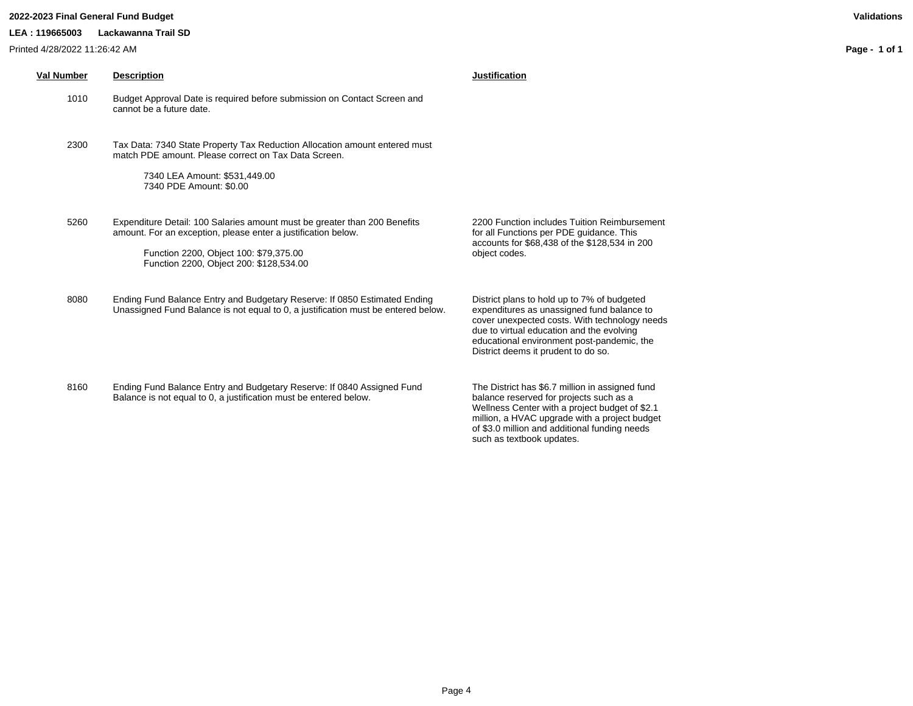#### **2022-2023 Final General Fund Budget Validations**

Printed 4/28/2022 11:26:42 AM

**LEA : 119665003 Lackawanna Trail SD**

**Page - 1 of 1**

| Val Number | <b>Description</b>                                                                                                                                                                                                              | <b>Justification</b>                                                                                                                                                                                                                                                         |
|------------|---------------------------------------------------------------------------------------------------------------------------------------------------------------------------------------------------------------------------------|------------------------------------------------------------------------------------------------------------------------------------------------------------------------------------------------------------------------------------------------------------------------------|
| 1010       | Budget Approval Date is required before submission on Contact Screen and<br>cannot be a future date.                                                                                                                            |                                                                                                                                                                                                                                                                              |
| 2300       | Tax Data: 7340 State Property Tax Reduction Allocation amount entered must<br>match PDE amount. Please correct on Tax Data Screen.<br>7340 LEA Amount: \$531,449.00<br>7340 PDE Amount: \$0.00                                  |                                                                                                                                                                                                                                                                              |
| 5260       | Expenditure Detail: 100 Salaries amount must be greater than 200 Benefits<br>amount. For an exception, please enter a justification below.<br>Function 2200, Object 100: \$79,375.00<br>Function 2200, Object 200: \$128,534.00 | 2200 Function includes Tuition Reimbursement<br>for all Functions per PDE guidance. This<br>accounts for \$68,438 of the \$128,534 in 200<br>object codes.                                                                                                                   |
| 8080       | Ending Fund Balance Entry and Budgetary Reserve: If 0850 Estimated Ending<br>Unassigned Fund Balance is not equal to 0, a justification must be entered below.                                                                  | District plans to hold up to 7% of budgeted<br>expenditures as unassigned fund balance to<br>cover unexpected costs. With technology needs<br>due to virtual education and the evolving<br>educational environment post-pandemic, the<br>District deems it prudent to do so. |

8160 Ending Fund Balance Entry and Budgetary Reserve: If 0840 Assigned Fund Balance is not equal to 0, a justification must be entered below.

The District has \$6.7 million in assigned fund balance reserved for projects such as a Wellness Center with a project budget of \$2.1 million, a HVAC upgrade with a project budget of \$3.0 million and additional funding needs such as textbook updates.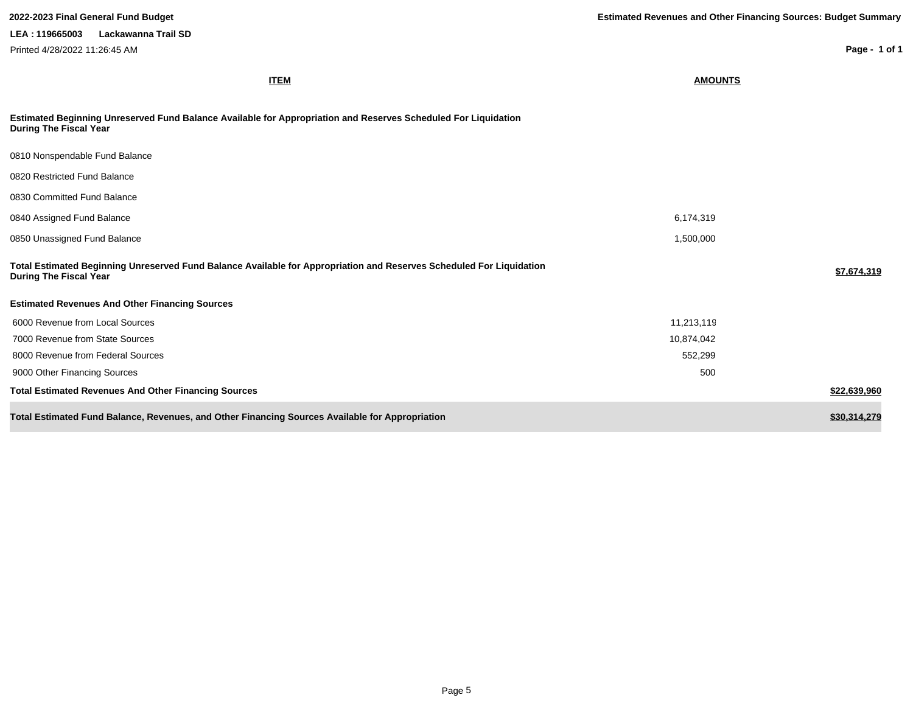**LEA : 119665003 Lackawanna Trail SD** Printed 4/28/2022 11:26:45 AM

**Page - 1 of 1**

| <b>ITEM</b>                                                                                                                                           | <b>AMOUNTS</b> |              |
|-------------------------------------------------------------------------------------------------------------------------------------------------------|----------------|--------------|
| Estimated Beginning Unreserved Fund Balance Available for Appropriation and Reserves Scheduled For Liquidation<br><b>During The Fiscal Year</b>       |                |              |
| 0810 Nonspendable Fund Balance                                                                                                                        |                |              |
| 0820 Restricted Fund Balance                                                                                                                          |                |              |
| 0830 Committed Fund Balance                                                                                                                           |                |              |
| 0840 Assigned Fund Balance                                                                                                                            | 6,174,319      |              |
| 0850 Unassigned Fund Balance                                                                                                                          | 1,500,000      |              |
| Total Estimated Beginning Unreserved Fund Balance Available for Appropriation and Reserves Scheduled For Liquidation<br><b>During The Fiscal Year</b> |                | \$7,674,319  |
| <b>Estimated Revenues And Other Financing Sources</b>                                                                                                 |                |              |
| 6000 Revenue from Local Sources                                                                                                                       | 11,213,119     |              |
| 7000 Revenue from State Sources                                                                                                                       | 10,874,042     |              |
| 8000 Revenue from Federal Sources                                                                                                                     | 552,299        |              |
| 9000 Other Financing Sources                                                                                                                          | 500            |              |
| <b>Total Estimated Revenues And Other Financing Sources</b>                                                                                           |                | \$22,639,960 |
| Total Estimated Fund Balance, Revenues, and Other Financing Sources Available for Appropriation                                                       |                | \$30,314,279 |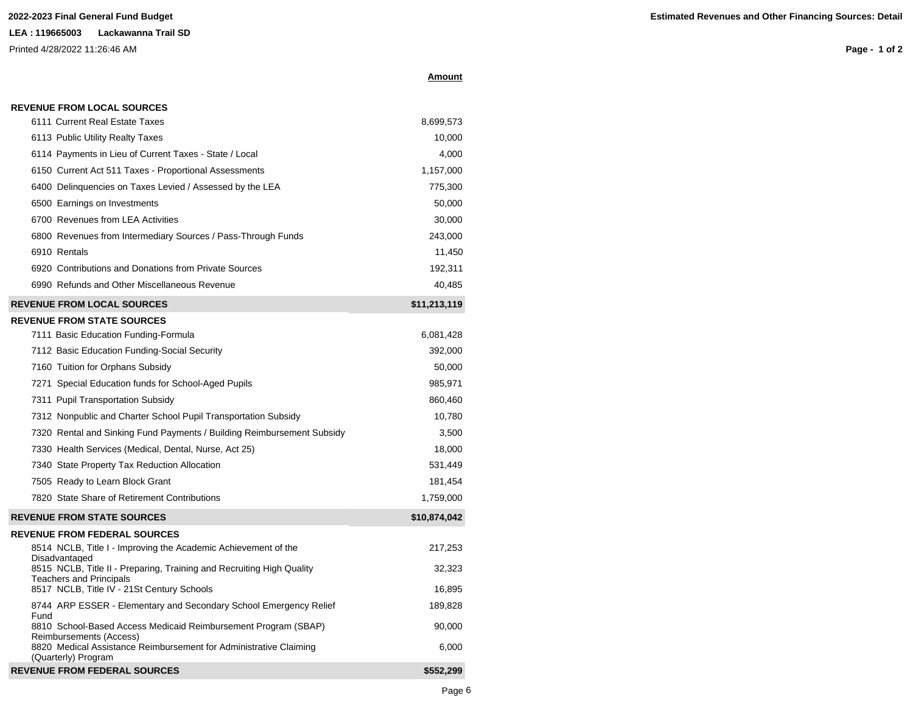#### **LEA : 119665003 Lackawanna Trail SD**

**REVENUE FROM LOCAL SOURCES**

Reimbursements (Access)

(Quarterly) Program

Printed 4/28/2022 11:26:46 AM

**Page - 1 of 2**

| 6111 Current Real Estate Taxes                                                         | 8,699,573    |
|----------------------------------------------------------------------------------------|--------------|
| 6113 Public Utility Realty Taxes                                                       | 10,000       |
| 6114 Payments in Lieu of Current Taxes - State / Local                                 | 4,000        |
| 6150 Current Act 511 Taxes - Proportional Assessments                                  | 1,157,000    |
| 6400 Delinquencies on Taxes Levied / Assessed by the LEA                               | 775,300      |
| 6500 Earnings on Investments                                                           | 50,000       |
| 6700 Revenues from LEA Activities                                                      | 30,000       |
| 6800 Revenues from Intermediary Sources / Pass-Through Funds                           | 243,000      |
| 6910 Rentals                                                                           | 11,450       |
| 6920 Contributions and Donations from Private Sources                                  | 192,311      |
| 6990 Refunds and Other Miscellaneous Revenue                                           | 40,485       |
| <b>REVENUE FROM LOCAL SOURCES</b>                                                      | \$11,213,119 |
| <b>REVENUE FROM STATE SOURCES</b>                                                      |              |
| 7111 Basic Education Funding-Formula                                                   | 6,081,428    |
| 7112 Basic Education Funding-Social Security                                           | 392,000      |
| 7160 Tuition for Orphans Subsidy                                                       | 50,000       |
| 7271 Special Education funds for School-Aged Pupils                                    | 985,971      |
| 7311 Pupil Transportation Subsidy                                                      | 860,460      |
| 7312 Nonpublic and Charter School Pupil Transportation Subsidy                         | 10,780       |
| 7320 Rental and Sinking Fund Payments / Building Reimbursement Subsidy                 | 3,500        |
| 7330 Health Services (Medical, Dental, Nurse, Act 25)                                  | 18,000       |
| 7340 State Property Tax Reduction Allocation                                           | 531,449      |
| 7505 Ready to Learn Block Grant                                                        | 181,454      |
| 7820 State Share of Retirement Contributions                                           | 1,759,000    |
| <b>REVENUE FROM STATE SOURCES</b>                                                      | \$10,874,042 |
| <b>REVENUE FROM FEDERAL SOURCES</b>                                                    |              |
| 8514 NCLB, Title I - Improving the Academic Achievement of the                         | 217,253      |
| Disadvantaged<br>8515 NCLB, Title II - Preparing, Training and Recruiting High Quality | 32,323       |
| <b>Teachers and Principals</b><br>8517 NCLB, Title IV - 21St Century Schools           | 16,895       |
| 8744 ARP ESSER - Elementary and Secondary School Emergency Relief                      | 189,828      |
| Fund                                                                                   |              |
| 8810 School-Based Access Medicaid Reimbursement Program (SBAP)                         | 90,000       |

8820 Medical Assistance Reimbursement for Administrative Claiming

**REVENUE FROM FEDERAL SOURCES <b>ACCELER ALSO EXAMPLE 2008 A S552,299** 

**Amount**

6,000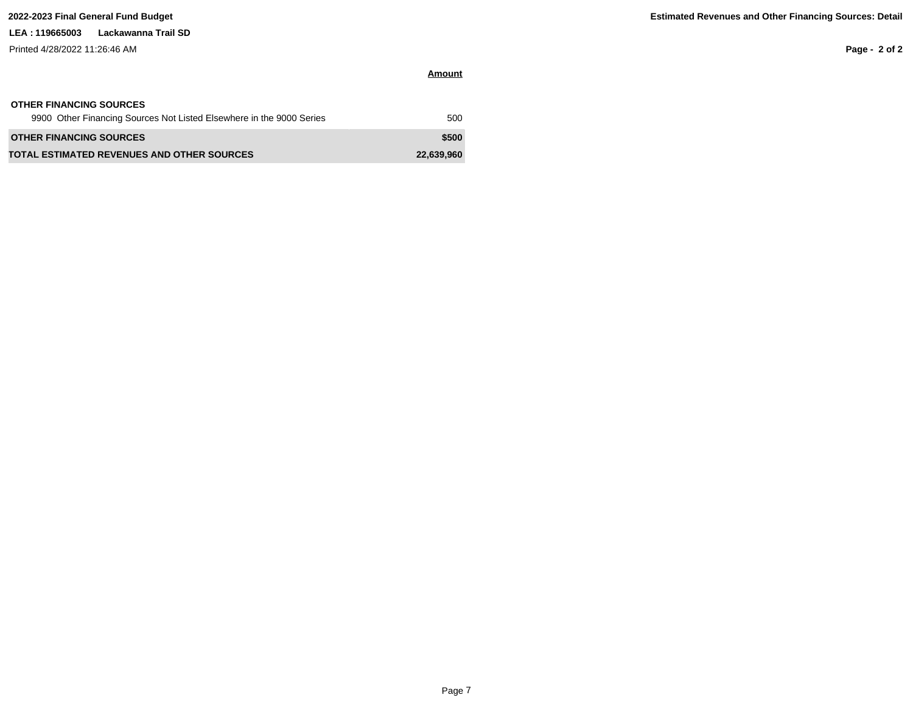### **LEA : 119665003 Lackawanna Trail SD**

Printed 4/28/2022 11:26:46 AM

**Page - 2 of 2**

| <b>OTHER FINANCING SOURCES</b>                                       |            |
|----------------------------------------------------------------------|------------|
| 9900 Other Financing Sources Not Listed Elsewhere in the 9000 Series | 500        |
| <b>OTHER FINANCING SOURCES</b>                                       | \$500      |
| <b>TOTAL ESTIMATED REVENUES AND OTHER SOURCES</b>                    | 22,639,960 |

**Amount**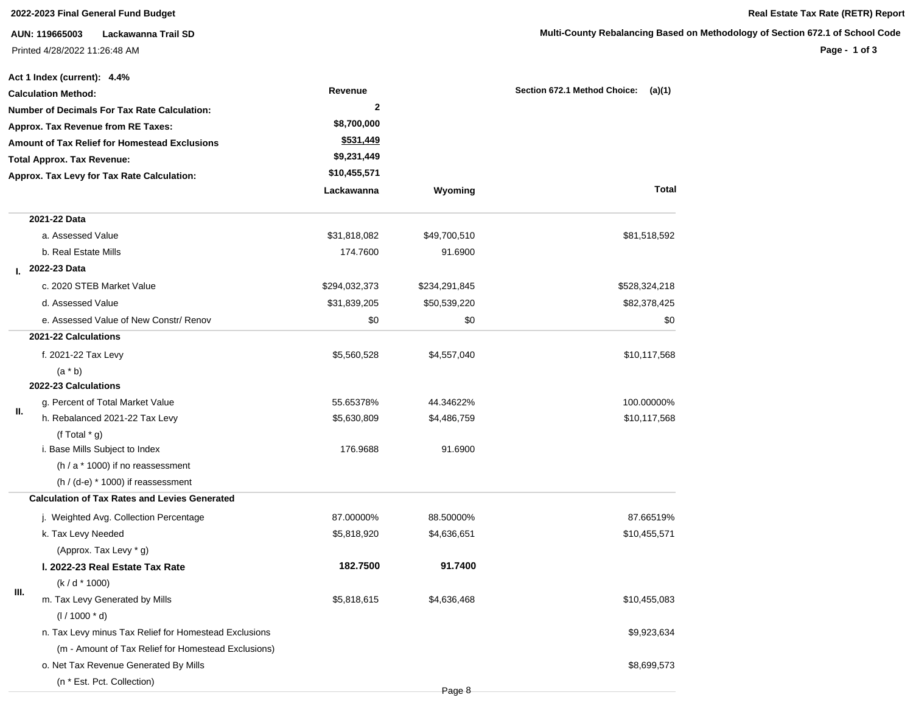| Lackawanna Trail SD<br>AUN: 119665003                |                                                                                                                                                                                                                                                                                                                                                                                                                                                                                                                                                                                       |                                                                 | Multi-County Rebalancing Based on                             |
|------------------------------------------------------|---------------------------------------------------------------------------------------------------------------------------------------------------------------------------------------------------------------------------------------------------------------------------------------------------------------------------------------------------------------------------------------------------------------------------------------------------------------------------------------------------------------------------------------------------------------------------------------|-----------------------------------------------------------------|---------------------------------------------------------------|
|                                                      |                                                                                                                                                                                                                                                                                                                                                                                                                                                                                                                                                                                       |                                                                 |                                                               |
|                                                      | Revenue                                                                                                                                                                                                                                                                                                                                                                                                                                                                                                                                                                               |                                                                 | Section 672.1 Method Choice:<br>(a)(1)                        |
|                                                      | $\mathbf{2}$                                                                                                                                                                                                                                                                                                                                                                                                                                                                                                                                                                          |                                                                 |                                                               |
|                                                      | \$8,700,000                                                                                                                                                                                                                                                                                                                                                                                                                                                                                                                                                                           |                                                                 |                                                               |
| <b>Amount of Tax Relief for Homestead Exclusions</b> | \$531,449                                                                                                                                                                                                                                                                                                                                                                                                                                                                                                                                                                             |                                                                 |                                                               |
| <b>Total Approx. Tax Revenue:</b>                    | \$9,231,449                                                                                                                                                                                                                                                                                                                                                                                                                                                                                                                                                                           |                                                                 |                                                               |
| Approx. Tax Levy for Tax Rate Calculation:           | \$10,455,571                                                                                                                                                                                                                                                                                                                                                                                                                                                                                                                                                                          |                                                                 |                                                               |
|                                                      | Lackawanna                                                                                                                                                                                                                                                                                                                                                                                                                                                                                                                                                                            | Wyoming                                                         | Total                                                         |
| 2021-22 Data                                         |                                                                                                                                                                                                                                                                                                                                                                                                                                                                                                                                                                                       |                                                                 |                                                               |
| a. Assessed Value                                    | \$31,818,082                                                                                                                                                                                                                                                                                                                                                                                                                                                                                                                                                                          | \$49,700,510                                                    | \$81,518,592                                                  |
| b. Real Estate Mills                                 | 174.7600                                                                                                                                                                                                                                                                                                                                                                                                                                                                                                                                                                              | 91.6900                                                         |                                                               |
| L 2022-23 Data                                       |                                                                                                                                                                                                                                                                                                                                                                                                                                                                                                                                                                                       |                                                                 |                                                               |
| c. 2020 STEB Market Value                            | \$294,032,373                                                                                                                                                                                                                                                                                                                                                                                                                                                                                                                                                                         | \$234,291,845                                                   | \$528,324,218                                                 |
| d. Assessed Value                                    | \$31,839,205                                                                                                                                                                                                                                                                                                                                                                                                                                                                                                                                                                          | \$50,539,220                                                    | \$82,378,425                                                  |
| e. Assessed Value of New Constr/ Renov               | \$0                                                                                                                                                                                                                                                                                                                                                                                                                                                                                                                                                                                   | \$0                                                             | \$0                                                           |
| 2021-22 Calculations                                 |                                                                                                                                                                                                                                                                                                                                                                                                                                                                                                                                                                                       |                                                                 |                                                               |
| f. 2021-22 Tax Levy                                  | \$5,560,528                                                                                                                                                                                                                                                                                                                                                                                                                                                                                                                                                                           | \$4,557,040                                                     | \$10,117,568                                                  |
| $(a * b)$                                            |                                                                                                                                                                                                                                                                                                                                                                                                                                                                                                                                                                                       |                                                                 |                                                               |
| 2022-23 Calculations                                 |                                                                                                                                                                                                                                                                                                                                                                                                                                                                                                                                                                                       |                                                                 |                                                               |
| g. Percent of Total Market Value                     | 55.65378%                                                                                                                                                                                                                                                                                                                                                                                                                                                                                                                                                                             | 44.34622%                                                       | 100.00000%                                                    |
| h. Rebalanced 2021-22 Tax Levy                       | \$5,630,809                                                                                                                                                                                                                                                                                                                                                                                                                                                                                                                                                                           | \$4,486,759                                                     | \$10,117,568                                                  |
|                                                      |                                                                                                                                                                                                                                                                                                                                                                                                                                                                                                                                                                                       |                                                                 |                                                               |
|                                                      |                                                                                                                                                                                                                                                                                                                                                                                                                                                                                                                                                                                       |                                                                 |                                                               |
|                                                      |                                                                                                                                                                                                                                                                                                                                                                                                                                                                                                                                                                                       |                                                                 |                                                               |
| <b>Calculation of Tax Rates and Levies Generated</b> |                                                                                                                                                                                                                                                                                                                                                                                                                                                                                                                                                                                       |                                                                 |                                                               |
|                                                      |                                                                                                                                                                                                                                                                                                                                                                                                                                                                                                                                                                                       |                                                                 | 87.66519%                                                     |
|                                                      |                                                                                                                                                                                                                                                                                                                                                                                                                                                                                                                                                                                       |                                                                 | \$10,455,571                                                  |
|                                                      |                                                                                                                                                                                                                                                                                                                                                                                                                                                                                                                                                                                       |                                                                 |                                                               |
|                                                      |                                                                                                                                                                                                                                                                                                                                                                                                                                                                                                                                                                                       |                                                                 |                                                               |
|                                                      |                                                                                                                                                                                                                                                                                                                                                                                                                                                                                                                                                                                       |                                                                 |                                                               |
|                                                      |                                                                                                                                                                                                                                                                                                                                                                                                                                                                                                                                                                                       |                                                                 | \$10,455,083                                                  |
|                                                      |                                                                                                                                                                                                                                                                                                                                                                                                                                                                                                                                                                                       |                                                                 |                                                               |
|                                                      |                                                                                                                                                                                                                                                                                                                                                                                                                                                                                                                                                                                       |                                                                 | \$9,923,634                                                   |
| (m - Amount of Tax Relief for Homestead Exclusions)  |                                                                                                                                                                                                                                                                                                                                                                                                                                                                                                                                                                                       |                                                                 |                                                               |
| o. Net Tax Revenue Generated By Mills                |                                                                                                                                                                                                                                                                                                                                                                                                                                                                                                                                                                                       |                                                                 | \$8,699,573                                                   |
|                                                      | Printed 4/28/2022 11:26:48 AM<br>Act 1 Index (current): 4.4%<br><b>Calculation Method:</b><br><b>Number of Decimals For Tax Rate Calculation:</b><br>Approx. Tax Revenue from RE Taxes:<br>(f Total $*$ g)<br>i. Base Mills Subject to Index<br>(h / a * 1000) if no reassessment<br>$(h / (d-e) * 1000)$ if reassessment<br>j. Weighted Avg. Collection Percentage<br>k. Tax Levy Needed<br>(Approx. Tax Levy * g)<br>I. 2022-23 Real Estate Tax Rate<br>$(k/d * 1000)$<br>m. Tax Levy Generated by Mills<br>$(1/1000 * d)$<br>n. Tax Levy minus Tax Relief for Homestead Exclusions | 176.9688<br>87.00000%<br>\$5,818,920<br>182.7500<br>\$5,818,615 | 91.6900<br>88.50000%<br>\$4,636,651<br>91.7400<br>\$4,636,468 |

(n \* Est. Pct. Collection)

## **2022-2023 Final General Fund Budget Real Estate Tax Rate (RETR) Report**

### **Methodology of Section 672.1 of School Code**

**Page - 1 of 3**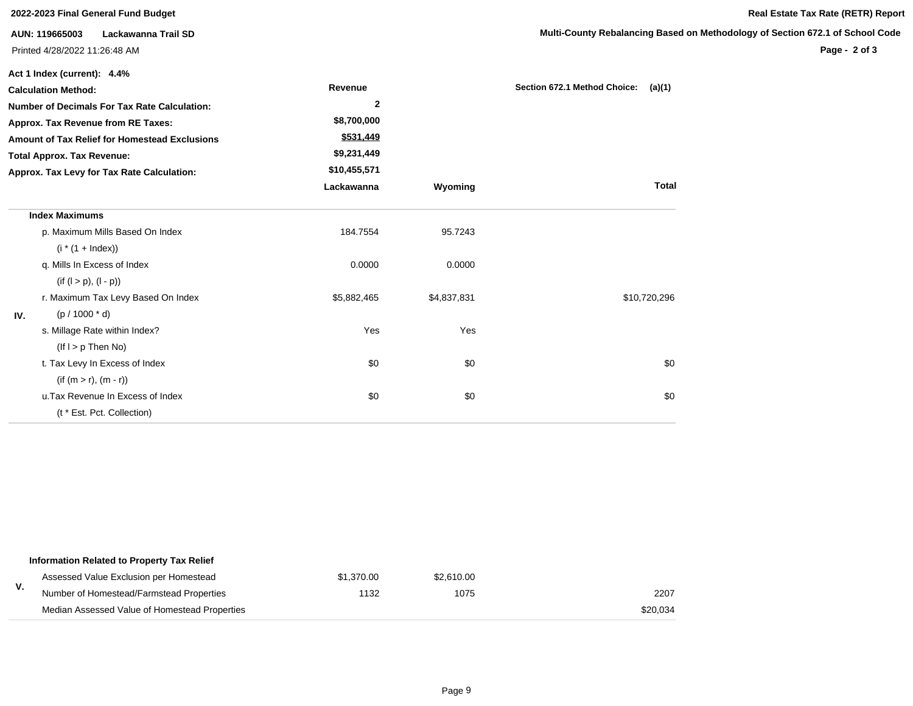|                                            | 2022-2023 Final General Fund Budget                 |                |             | Real Estate Tax Rate (RETR) Report     |                                                                               |
|--------------------------------------------|-----------------------------------------------------|----------------|-------------|----------------------------------------|-------------------------------------------------------------------------------|
|                                            | Lackawanna Trail SD<br>AUN: 119665003               |                |             |                                        | Multi-County Rebalancing Based on Methodology of Section 672.1 of School Code |
|                                            | Printed 4/28/2022 11:26:48 AM                       |                |             |                                        | Page - 2 of 3                                                                 |
|                                            | Act 1 Index (current): 4.4%                         |                |             |                                        |                                                                               |
|                                            | <b>Calculation Method:</b>                          | Revenue        |             | Section 672.1 Method Choice:<br>(a)(1) |                                                                               |
|                                            | <b>Number of Decimals For Tax Rate Calculation:</b> | $\overline{2}$ |             |                                        |                                                                               |
|                                            | Approx. Tax Revenue from RE Taxes:                  | \$8,700,000    |             |                                        |                                                                               |
|                                            | Amount of Tax Relief for Homestead Exclusions       | \$531,449      |             |                                        |                                                                               |
| <b>Total Approx. Tax Revenue:</b>          |                                                     | \$9,231,449    |             |                                        |                                                                               |
| Approx. Tax Levy for Tax Rate Calculation: |                                                     | \$10,455,571   |             |                                        |                                                                               |
|                                            |                                                     | Lackawanna     | Wyoming     | <b>Total</b>                           |                                                                               |
|                                            | <b>Index Maximums</b>                               |                |             |                                        |                                                                               |
|                                            | p. Maximum Mills Based On Index                     | 184.7554       | 95.7243     |                                        |                                                                               |
|                                            | $(i * (1 + Index))$                                 |                |             |                                        |                                                                               |
|                                            | q. Mills In Excess of Index                         | 0.0000         | 0.0000      |                                        |                                                                               |
|                                            | $(if (l > p), (l - p))$                             |                |             |                                        |                                                                               |
|                                            | r. Maximum Tax Levy Based On Index                  | \$5,882,465    | \$4,837,831 | \$10,720,296                           |                                                                               |
| IV.                                        | $(p / 1000 * d)$                                    |                |             |                                        |                                                                               |
|                                            | s. Millage Rate within Index?                       | Yes            | Yes         |                                        |                                                                               |
|                                            | $($ lf $I > p$ Then No $)$                          |                |             |                                        |                                                                               |
|                                            | t. Tax Levy In Excess of Index                      | \$0            | \$0         | \$0                                    |                                                                               |
|                                            | $(if (m > r), (m - r))$                             |                |             |                                        |                                                                               |
|                                            | u. Tax Revenue In Excess of Index                   | \$0            | \$0         | \$0                                    |                                                                               |
|                                            | (t * Est. Pct. Collection)                          |                |             |                                        |                                                                               |

|    | Information Related to Property Tax Relief    |            |            |          |
|----|-----------------------------------------------|------------|------------|----------|
|    | Assessed Value Exclusion per Homestead        | \$1,370.00 | \$2.610.00 |          |
| ٧. | Number of Homestead/Farmstead Properties      | 1132       | 1075       | 2207     |
|    | Median Assessed Value of Homestead Properties |            |            | \$20,034 |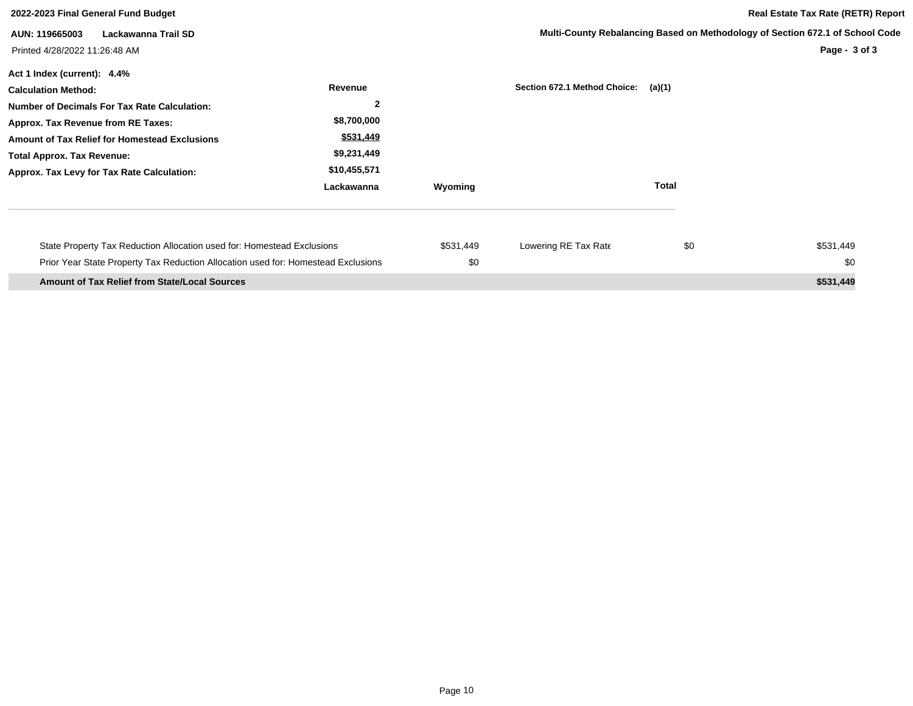| 2022-2023 Final General Fund Budget                                                                                                                                                                                                                                                        |                                                                                                    |                  |                              | <b>Real Estate Tax Rate (RETR) Report</b>                                                      |                  |
|--------------------------------------------------------------------------------------------------------------------------------------------------------------------------------------------------------------------------------------------------------------------------------------------|----------------------------------------------------------------------------------------------------|------------------|------------------------------|------------------------------------------------------------------------------------------------|------------------|
| Lackawanna Trail SD<br>AUN: 119665003<br>Printed 4/28/2022 11:26:48 AM                                                                                                                                                                                                                     |                                                                                                    |                  |                              | Multi-County Rebalancing Based on Methodology of Section 672.1 of School Code<br>Page - 3 of 3 |                  |
| Act 1 Index (current): 4.4%<br><b>Calculation Method:</b><br><b>Number of Decimals For Tax Rate Calculation:</b><br>Approx. Tax Revenue from RE Taxes:<br>Amount of Tax Relief for Homestead Exclusions<br><b>Total Approx. Tax Revenue:</b><br>Approx. Tax Levy for Tax Rate Calculation: | Revenue<br>$\overline{2}$<br>\$8,700,000<br>\$531,449<br>\$9,231,449<br>\$10,455,571<br>Lackawanna | Wyoming          | Section 672.1 Method Choice: | (a)(1)<br><b>Total</b>                                                                         |                  |
| State Property Tax Reduction Allocation used for: Homestead Exclusions<br>Prior Year State Property Tax Reduction Allocation used for: Homestead Exclusions                                                                                                                                |                                                                                                    | \$531,449<br>\$0 | Lowering RE Tax Rate         | \$0                                                                                            | \$531,449<br>\$0 |
| <b>Amount of Tax Relief from State/Local Sources</b>                                                                                                                                                                                                                                       |                                                                                                    |                  |                              |                                                                                                | \$531,449        |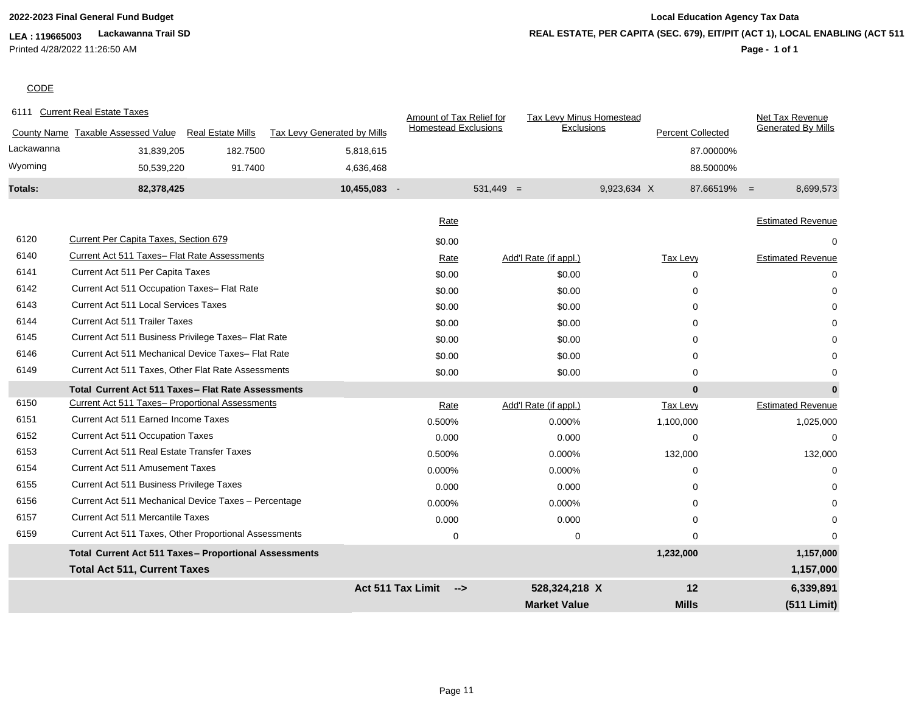### **LEA : 119665003 Lackawanna Trail SD** Printed 4/28/2022 11:26:50 AM

## **2022-2023 Final General Fund Budget Local Education Agency Tax Data Page - 1 of 1 REAL ESTATE, PER CAPITA (SEC. 679), EIT/PIT (ACT 1), LOCAL ENABLING (ACT 511)**

**CODE** 

|            | 6111 Current Real Estate Taxes                         |                          |                             | Amount of Tax Relief for        |                       | Tax Levy Minus Homestead               | Net Tax Revenue             |
|------------|--------------------------------------------------------|--------------------------|-----------------------------|---------------------------------|-----------------------|----------------------------------------|-----------------------------|
|            | County Name Taxable Assessed Value                     | <b>Real Estate Mills</b> | Tax Levy Generated by Mills | <b>Homestead Exclusions</b>     |                       | Exclusions<br><b>Percent Collected</b> | <b>Generated By Mills</b>   |
| Lackawanna | 31,839,205                                             | 182.7500                 | 5,818,615                   |                                 |                       |                                        | 87.00000%                   |
| Wyoming    | 50,539,220                                             | 91.7400                  | 4,636,468                   |                                 |                       |                                        | 88.50000%                   |
| Totals:    | 82,378,425                                             |                          | 10,455,083 -                |                                 | $531,449 =$           | 9,923,634 X                            | $87.66519\% =$<br>8,699,573 |
|            |                                                        |                          |                             |                                 |                       |                                        |                             |
|            |                                                        |                          |                             | Rate                            |                       |                                        | <b>Estimated Revenue</b>    |
| 6120       | Current Per Capita Taxes, Section 679                  |                          |                             | \$0.00                          |                       |                                        |                             |
| 6140       | Current Act 511 Taxes- Flat Rate Assessments           |                          |                             | Rate                            | Add'l Rate (if appl.) | <b>Tax Levy</b>                        | <b>Estimated Revenue</b>    |
| 6141       | Current Act 511 Per Capita Taxes                       |                          |                             | \$0.00                          | \$0.00                | $\Omega$                               | 0                           |
| 6142       | Current Act 511 Occupation Taxes- Flat Rate            |                          |                             | \$0.00                          | \$0.00                | $\Omega$                               |                             |
| 6143       | <b>Current Act 511 Local Services Taxes</b>            |                          |                             | \$0.00                          | \$0.00                | $\Omega$                               |                             |
| 6144       | <b>Current Act 511 Trailer Taxes</b>                   |                          |                             | \$0.00                          | \$0.00                | $\Omega$                               |                             |
| 6145       | Current Act 511 Business Privilege Taxes- Flat Rate    |                          |                             | \$0.00                          | \$0.00                | $\Omega$                               |                             |
| 6146       | Current Act 511 Mechanical Device Taxes- Flat Rate     |                          |                             | \$0.00                          | \$0.00                | $\Omega$                               |                             |
| 6149       | Current Act 511 Taxes, Other Flat Rate Assessments     |                          |                             | \$0.00                          | \$0.00                | $\Omega$                               |                             |
|            | Total Current Act 511 Taxes - Flat Rate Assessments    |                          |                             |                                 |                       |                                        | $\bf{0}$<br>$\mathbf 0$     |
| 6150       | <b>Current Act 511 Taxes- Proportional Assessments</b> |                          |                             | Rate                            | Add'l Rate (if appl.) | <b>Tax Levy</b>                        | <b>Estimated Revenue</b>    |
| 6151       | Current Act 511 Earned Income Taxes                    |                          |                             | 0.500%                          | 0.000%                | 1,100,000                              | 1,025,000                   |
| 6152       | Current Act 511 Occupation Taxes                       |                          |                             | 0.000                           | 0.000                 | $\Omega$                               | $\Omega$                    |
| 6153       | Current Act 511 Real Estate Transfer Taxes             |                          |                             | 0.500%                          | 0.000%                | 132,000                                | 132,000                     |
| 6154       | <b>Current Act 511 Amusement Taxes</b>                 |                          |                             | 0.000%                          | 0.000%                | $\Omega$                               | 0                           |
| 6155       | Current Act 511 Business Privilege Taxes               |                          |                             | 0.000                           | 0.000                 | $\Omega$                               | ი                           |
| 6156       | Current Act 511 Mechanical Device Taxes - Percentage   |                          |                             | 0.000%                          | 0.000%                | $\Omega$                               |                             |
| 6157       | Current Act 511 Mercantile Taxes                       |                          |                             | 0.000                           | 0.000                 | $\Omega$                               |                             |
| 6159       | Current Act 511 Taxes, Other Proportional Assessments  |                          |                             | $\mathbf 0$                     |                       | $\mathbf 0$<br>$\Omega$                | $\Omega$                    |
|            | Total Current Act 511 Taxes- Proportional Assessments  |                          |                             |                                 |                       | 1,232,000                              | 1,157,000                   |
|            | <b>Total Act 511, Current Taxes</b>                    |                          |                             |                                 |                       |                                        | 1,157,000                   |
|            |                                                        |                          |                             | <b>Act 511 Tax Limit</b><br>--> | 528,324,218 X         | 12                                     | 6,339,891                   |
|            |                                                        |                          |                             |                                 | <b>Market Value</b>   | <b>Mills</b>                           | (511 Limit)                 |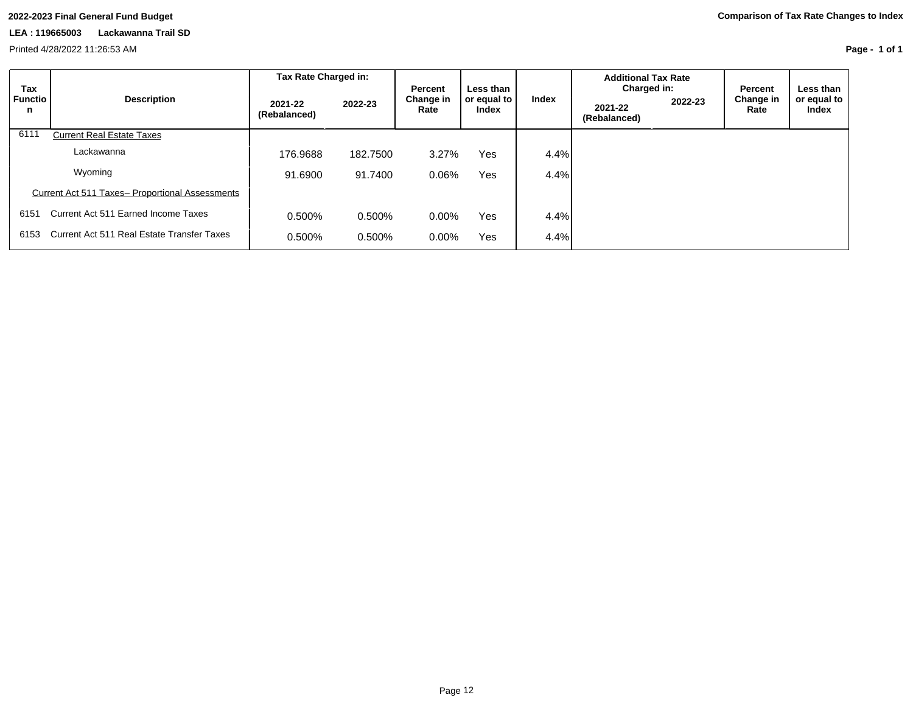Printed 4/28/2022 11:26:53 AM

**Page - 1 of 1**

| Tax                 | <b>Description</b>                              | Tax Rate Charged in:    |          | <b>Percent</b>    | Less than            |       | <b>Additional Tax Rate</b><br>Charged in: |         | Percent           | Less than            |
|---------------------|-------------------------------------------------|-------------------------|----------|-------------------|----------------------|-------|-------------------------------------------|---------|-------------------|----------------------|
| <b>Functio</b><br>n |                                                 | 2021-22<br>(Rebalanced) | 2022-23  | Change in<br>Rate | or equal to<br>Index | Index | 2021-22<br>(Rebalanced)                   | 2022-23 | Change in<br>Rate | or equal to<br>Index |
| 6111                | <b>Current Real Estate Taxes</b>                |                         |          |                   |                      |       |                                           |         |                   |                      |
|                     | Lackawanna                                      | 176.9688                | 182.7500 | 3.27%             | <b>Yes</b>           | 4.4%  |                                           |         |                   |                      |
|                     | Wyoming                                         | 91.6900                 | 91.7400  | 0.06%             | Yes                  | 4.4%  |                                           |         |                   |                      |
|                     | Current Act 511 Taxes- Proportional Assessments |                         |          |                   |                      |       |                                           |         |                   |                      |
| 6151                | Current Act 511 Earned Income Taxes             | 0.500%                  | 0.500%   | $0.00\%$          | Yes                  | 4.4%  |                                           |         |                   |                      |
| 6153                | Current Act 511 Real Estate Transfer Taxes      | 0.500%                  | 0.500%   | $0.00\%$          | <b>Yes</b>           | 4.4%  |                                           |         |                   |                      |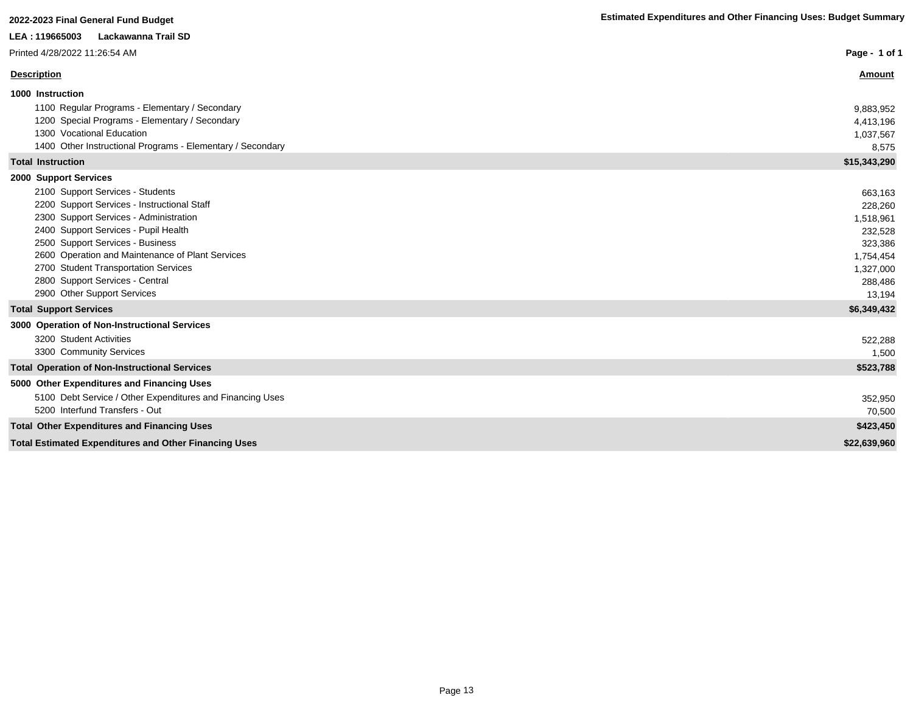| LEA: 119665003<br>Lackawanna Trail SD                          |               |
|----------------------------------------------------------------|---------------|
| Printed 4/28/2022 11:26:54 AM                                  | Page - 1 of 1 |
| <b>Description</b>                                             | <b>Amount</b> |
| 1000 Instruction                                               |               |
| 1100 Regular Programs - Elementary / Secondary                 | 9,883,952     |
| 1200 Special Programs - Elementary / Secondary                 | 4,413,196     |
| 1300 Vocational Education                                      | 1,037,567     |
| 1400 Other Instructional Programs - Elementary / Secondary     | 8,575         |
| <b>Total Instruction</b>                                       | \$15,343,290  |
| 2000 Support Services                                          |               |
| 2100 Support Services - Students                               | 663,163       |
| 2200 Support Services - Instructional Staff                    | 228,260       |
| 2300 Support Services - Administration                         | 1,518,961     |
| 2400 Support Services - Pupil Health                           | 232,528       |
| 2500 Support Services - Business                               | 323,386       |
| 2600 Operation and Maintenance of Plant Services               | 1,754,454     |
| 2700 Student Transportation Services                           | 1,327,000     |
| 2800 Support Services - Central<br>2900 Other Support Services | 288,486       |
|                                                                | 13,194        |
| <b>Total Support Services</b>                                  | \$6,349,432   |
| 3000 Operation of Non-Instructional Services                   |               |
| 3200 Student Activities                                        | 522,288       |
| 3300 Community Services                                        | 1,500         |
| <b>Total Operation of Non-Instructional Services</b>           | \$523,788     |
| 5000 Other Expenditures and Financing Uses                     |               |
| 5100 Debt Service / Other Expenditures and Financing Uses      | 352,950       |
| 5200 Interfund Transfers - Out                                 | 70,500        |
| <b>Total Other Expenditures and Financing Uses</b>             | \$423,450     |
| <b>Total Estimated Expenditures and Other Financing Uses</b>   | \$22,639,960  |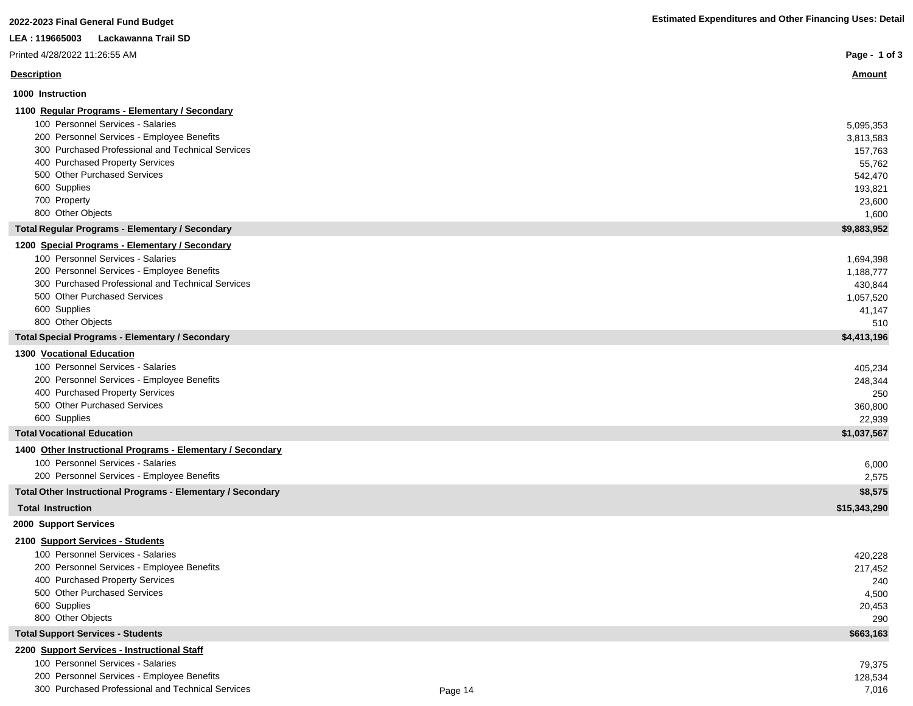| 2022-2023 Final General Fund Budget                                | <b>Estimated Expenditures and Other Financing Uses: Detail</b> |
|--------------------------------------------------------------------|----------------------------------------------------------------|
| LEA : 119665003<br>Lackawanna Trail SD                             |                                                                |
| Printed 4/28/2022 11:26:55 AM                                      | Page - 1 of 3                                                  |
| <b>Description</b>                                                 | <b>Amount</b>                                                  |
| 1000 Instruction                                                   |                                                                |
| 1100 Regular Programs - Elementary / Secondary                     |                                                                |
| 100 Personnel Services - Salaries                                  | 5,095,353                                                      |
| 200 Personnel Services - Employee Benefits                         | 3,813,583                                                      |
| 300 Purchased Professional and Technical Services                  | 157,763                                                        |
| 400 Purchased Property Services                                    | 55,762                                                         |
| 500 Other Purchased Services                                       | 542,470                                                        |
| 600 Supplies                                                       | 193,821                                                        |
| 700 Property                                                       | 23,600                                                         |
| 800 Other Objects                                                  | 1,600                                                          |
| <b>Total Regular Programs - Elementary / Secondary</b>             | \$9,883,952                                                    |
| 1200 Special Programs - Elementary / Secondary                     |                                                                |
| 100 Personnel Services - Salaries                                  | 1,694,398                                                      |
| 200 Personnel Services - Employee Benefits                         | 1,188,777                                                      |
| 300 Purchased Professional and Technical Services                  | 430,844                                                        |
| 500 Other Purchased Services                                       | 1,057,520                                                      |
| 600 Supplies                                                       | 41,147                                                         |
| 800 Other Objects                                                  | 510                                                            |
| <b>Total Special Programs - Elementary / Secondary</b>             | \$4,413,196                                                    |
| 1300 Vocational Education                                          |                                                                |
| 100 Personnel Services - Salaries                                  | 405,234                                                        |
| 200 Personnel Services - Employee Benefits                         | 248,344                                                        |
| 400 Purchased Property Services                                    | 250                                                            |
| 500 Other Purchased Services                                       | 360,800                                                        |
| 600 Supplies                                                       | 22,939                                                         |
| <b>Total Vocational Education</b>                                  | \$1,037,567                                                    |
| 1400 Other Instructional Programs - Elementary / Secondary         |                                                                |
| 100 Personnel Services - Salaries                                  | 6,000                                                          |
| 200 Personnel Services - Employee Benefits                         | 2,575                                                          |
| <b>Total Other Instructional Programs - Elementary / Secondary</b> | \$8,575                                                        |
| <b>Total Instruction</b>                                           | \$15,343,290                                                   |
| 2000 Support Services                                              |                                                                |
| 2100 Support Services - Students                                   |                                                                |
| 100 Personnel Services - Salaries                                  | 420,228                                                        |
| 200 Personnel Services - Employee Benefits                         | 217,452                                                        |
| 400 Purchased Property Services                                    | 240                                                            |
| 500 Other Purchased Services                                       | 4,500                                                          |
| 600 Supplies                                                       | 20.453                                                         |

600 Supplies 20,453

I

I

I

T L

800 Other Objects 290

#### **Total Support Services - Students \$663,163**

#### **2200 Support Services - Instructional Staff**

100 Personnel Services - Salaries 79,375<br>
200 Personnel Services - Employee Benefits 128,534 200 Personnel Services - Employee Benefits

300 Purchased Professional and Technical Services **Figure 14** Page 14 Page 14 200 Purchased Professional and Technical Services 7,016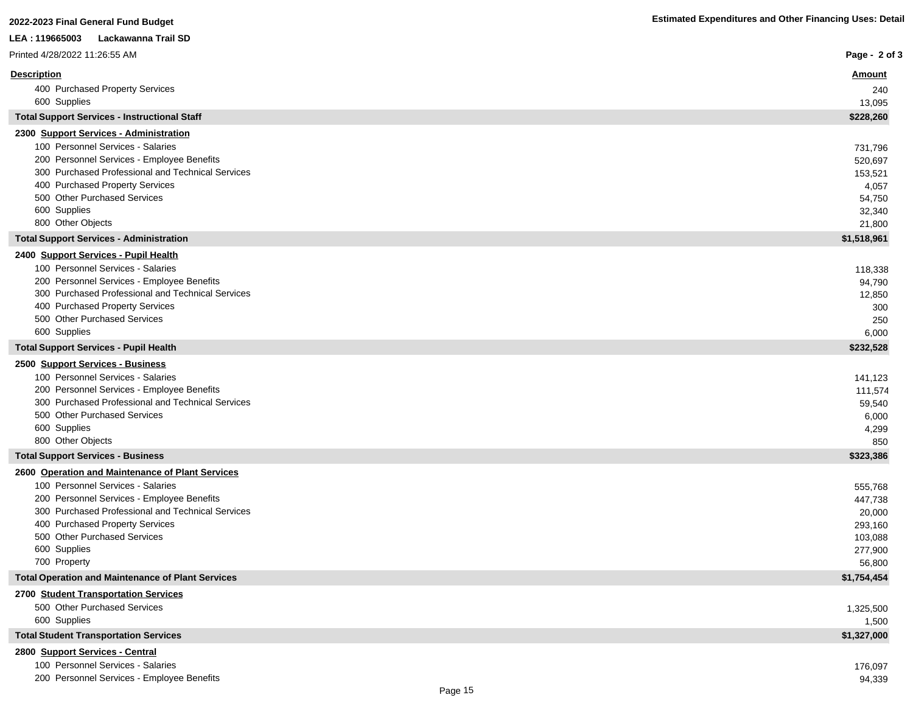| 2022-2023 Final General Fund Budget                                                             | <b>Estimated Expenditures and Other Financing Uses: Detail</b> |
|-------------------------------------------------------------------------------------------------|----------------------------------------------------------------|
| LEA: 119665003<br>Lackawanna Trail SD                                                           |                                                                |
| Printed 4/28/2022 11:26:55 AM                                                                   | Page - 2 of 3                                                  |
| <b>Description</b>                                                                              | <u>Amount</u>                                                  |
| 400 Purchased Property Services                                                                 | 240                                                            |
| 600 Supplies                                                                                    | 13,095                                                         |
| <b>Total Support Services - Instructional Staff</b>                                             | \$228,260                                                      |
| 2300 Support Services - Administration                                                          |                                                                |
| 100 Personnel Services - Salaries                                                               | 731,796                                                        |
| 200 Personnel Services - Employee Benefits                                                      | 520,697                                                        |
| 300 Purchased Professional and Technical Services                                               | 153,521                                                        |
| 400 Purchased Property Services                                                                 | 4,057                                                          |
| 500 Other Purchased Services                                                                    | 54,750                                                         |
| 600 Supplies<br>800 Other Objects                                                               | 32,340<br>21,800                                               |
| <b>Total Support Services - Administration</b>                                                  | \$1,518,961                                                    |
|                                                                                                 |                                                                |
| 2400 Support Services - Pupil Health<br>100 Personnel Services - Salaries                       |                                                                |
| 200 Personnel Services - Employee Benefits                                                      | 118,338<br>94,790                                              |
| 300 Purchased Professional and Technical Services                                               | 12,850                                                         |
| 400 Purchased Property Services                                                                 | 300                                                            |
| 500 Other Purchased Services                                                                    | 250                                                            |
| 600 Supplies                                                                                    | 6,000                                                          |
| <b>Total Support Services - Pupil Health</b>                                                    | \$232,528                                                      |
| 2500 Support Services - Business                                                                |                                                                |
| 100 Personnel Services - Salaries                                                               | 141,123                                                        |
| 200 Personnel Services - Employee Benefits                                                      | 111,574                                                        |
| 300 Purchased Professional and Technical Services                                               | 59,540                                                         |
| 500 Other Purchased Services                                                                    | 6,000                                                          |
| 600 Supplies                                                                                    | 4,299                                                          |
| 800 Other Objects                                                                               | 850                                                            |
| <b>Total Support Services - Business</b>                                                        | \$323,386                                                      |
| 2600 Operation and Maintenance of Plant Services                                                |                                                                |
| 100 Personnel Services - Salaries                                                               | 555,768                                                        |
| 200 Personnel Services - Employee Benefits<br>300 Purchased Professional and Technical Services | 447,738                                                        |
| 400 Purchased Property Services                                                                 | 20,000<br>293,160                                              |
| 500 Other Purchased Services                                                                    | 103,088                                                        |
| 600 Supplies                                                                                    | 277,900                                                        |
| 700 Property                                                                                    | 56,800                                                         |
| <b>Total Operation and Maintenance of Plant Services</b>                                        | \$1,754,454                                                    |
| 2700 Student Transportation Services                                                            |                                                                |
| 500 Other Purchased Services                                                                    | 1,325,500                                                      |
| 600 Supplies                                                                                    | 1,500                                                          |
| <b>Total Student Transportation Services</b>                                                    | \$1,327,000                                                    |
| 2800 Support Services - Central                                                                 |                                                                |
| 100 Personnel Services - Salaries                                                               | 176,097                                                        |
| 200 Personnel Services - Employee Benefits                                                      | 94,339                                                         |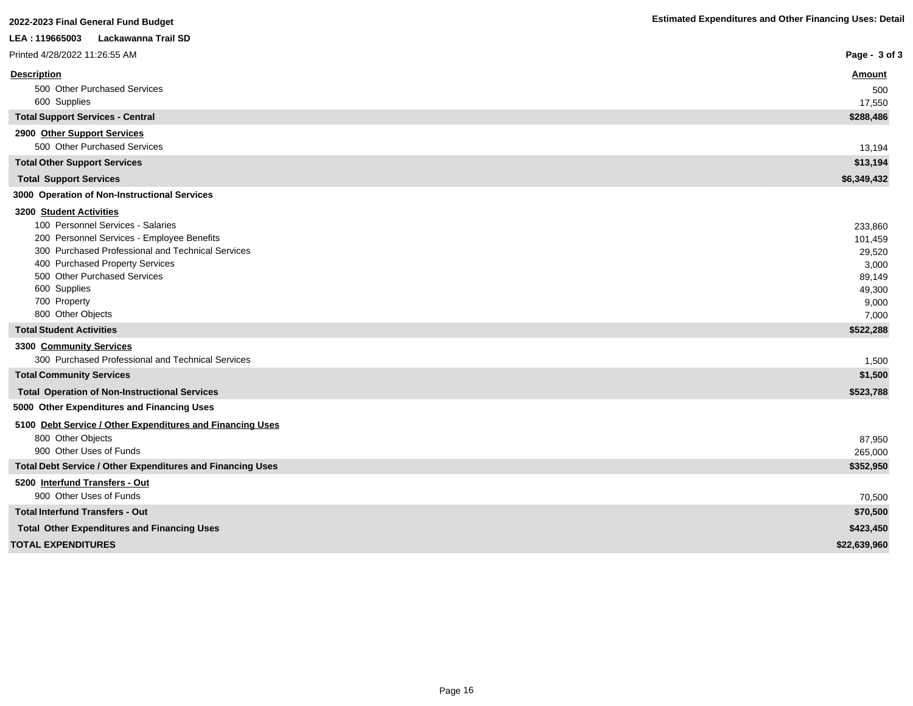| 2022-2023 Final General Fund Budget                                          | <b>Estimated Expenditures and Other Financing Uses: Detail</b> |
|------------------------------------------------------------------------------|----------------------------------------------------------------|
| Lackawanna Trail SD<br>LEA: 119665003                                        |                                                                |
| Printed 4/28/2022 11:26:55 AM                                                | Page - 3 of 3                                                  |
| <b>Description</b>                                                           | <u>Amount</u>                                                  |
| 500 Other Purchased Services                                                 | 500                                                            |
| 600 Supplies                                                                 | 17,550                                                         |
| <b>Total Support Services - Central</b>                                      | \$288,486                                                      |
| 2900 Other Support Services<br>500 Other Purchased Services                  | 13,194                                                         |
| <b>Total Other Support Services</b>                                          | \$13,194                                                       |
| <b>Total Support Services</b>                                                | \$6,349,432                                                    |
| 3000 Operation of Non-Instructional Services                                 |                                                                |
| 3200 Student Activities                                                      |                                                                |
| 100 Personnel Services - Salaries                                            | 233,860                                                        |
| 200 Personnel Services - Employee Benefits                                   | 101,459                                                        |
| 300 Purchased Professional and Technical Services                            | 29,520                                                         |
| 400 Purchased Property Services                                              | 3,000                                                          |
| 500 Other Purchased Services                                                 | 89,149                                                         |
| 600 Supplies                                                                 | 49,300                                                         |
| 700 Property                                                                 | 9,000                                                          |
| 800 Other Objects                                                            | 7,000                                                          |
| <b>Total Student Activities</b>                                              | \$522,288                                                      |
| 3300 Community Services<br>300 Purchased Professional and Technical Services | 1,500                                                          |
| <b>Total Community Services</b>                                              | \$1,500                                                        |
| <b>Total Operation of Non-Instructional Services</b>                         | \$523,788                                                      |
| 5000 Other Expenditures and Financing Uses                                   |                                                                |
| 5100 Debt Service / Other Expenditures and Financing Uses                    |                                                                |
| 800 Other Objects                                                            | 87,950                                                         |
| 900 Other Uses of Funds                                                      | 265,000                                                        |
| <b>Total Debt Service / Other Expenditures and Financing Uses</b>            | \$352,950                                                      |
| 5200 Interfund Transfers - Out                                               |                                                                |
| 900 Other Uses of Funds                                                      | 70,500                                                         |
| <b>Total Interfund Transfers - Out</b>                                       | \$70,500                                                       |
| <b>Total Other Expenditures and Financing Uses</b>                           | \$423,450                                                      |
| <b>TOTAL EXPENDITURES</b>                                                    | \$22,639,960                                                   |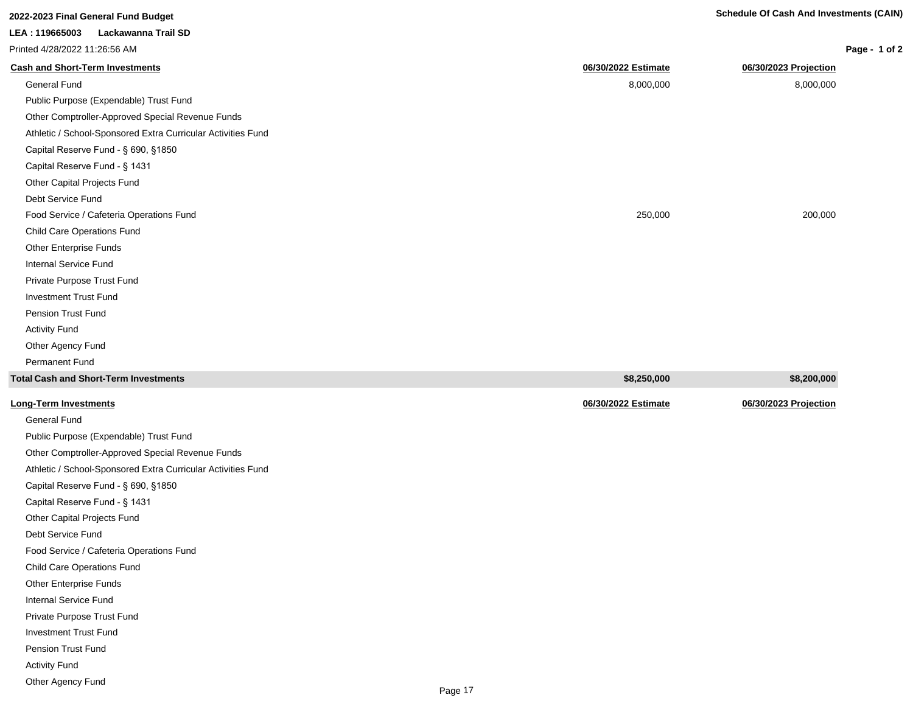| 2022-2023 Final General Fund Budget                          |                     | <b>Schedule Of Cash And Investments (CAIN)</b> |
|--------------------------------------------------------------|---------------------|------------------------------------------------|
| LEA: 119665003<br>Lackawanna Trail SD                        |                     |                                                |
| Printed 4/28/2022 11:26:56 AM                                |                     | Page - 1 of 2                                  |
| <b>Cash and Short-Term Investments</b>                       | 06/30/2022 Estimate | 06/30/2023 Projection                          |
| <b>General Fund</b>                                          | 8,000,000           | 8,000,000                                      |
| Public Purpose (Expendable) Trust Fund                       |                     |                                                |
| Other Comptroller-Approved Special Revenue Funds             |                     |                                                |
| Athletic / School-Sponsored Extra Curricular Activities Fund |                     |                                                |
| Capital Reserve Fund - § 690, §1850                          |                     |                                                |
| Capital Reserve Fund - § 1431                                |                     |                                                |
| Other Capital Projects Fund                                  |                     |                                                |
| Debt Service Fund                                            |                     |                                                |
| Food Service / Cafeteria Operations Fund                     | 250,000             | 200,000                                        |
| Child Care Operations Fund                                   |                     |                                                |
| <b>Other Enterprise Funds</b>                                |                     |                                                |
| Internal Service Fund                                        |                     |                                                |
| Private Purpose Trust Fund                                   |                     |                                                |
| <b>Investment Trust Fund</b>                                 |                     |                                                |
| Pension Trust Fund                                           |                     |                                                |
| <b>Activity Fund</b>                                         |                     |                                                |
| Other Agency Fund                                            |                     |                                                |

| Total Cash and Short-Term Investments  | \$8,250,000         | \$8,200,000           |
|----------------------------------------|---------------------|-----------------------|
| <u> Long-Term Investments</u>          | 06/30/2022 Estimate | 06/30/2023 Projection |
| General Fund                           |                     |                       |
| Public Purpose (Expendable) Trust Fund |                     |                       |

Other Comptroller-Approved Special Revenue Funds Athletic / School-Sponsored Extra Curricular Activities Fund Capital Reserve Fund - § 690, §1850 Capital Reserve Fund - § 1431 Other Capital Projects Fund Debt Service Fund Food Service / Cafeteria Operations Fund Child Care Operations Fund Other Enterprise Funds Internal Service Fund Private Purpose Trust Fund Investment Trust Fund

Pension Trust Fund

Permanent Fund

Activity Fund

Other Agency Fund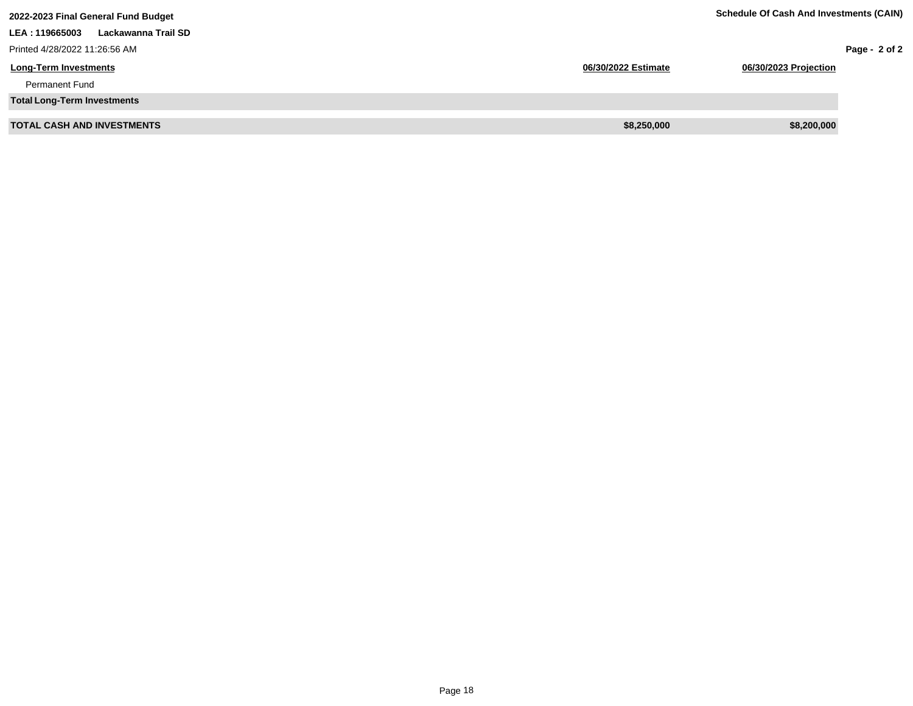| 2022-2023 Final General Fund Budget   | <b>Schedule Of Cash And Investments (CAIN)</b> |                       |                 |
|---------------------------------------|------------------------------------------------|-----------------------|-----------------|
| LEA: 119665003<br>Lackawanna Trail SD |                                                |                       |                 |
| Printed 4/28/2022 11:26:56 AM         |                                                |                       | Page - $2$ of 2 |
| <b>Long-Term Investments</b>          | 06/30/2022 Estimate                            | 06/30/2023 Projection |                 |
| <b>Permanent Fund</b>                 |                                                |                       |                 |
| <b>Total Long-Term Investments</b>    |                                                |                       |                 |
| <b>TOTAL CASH AND INVESTMENTS</b>     | \$8,250,000                                    | \$8,200,000           |                 |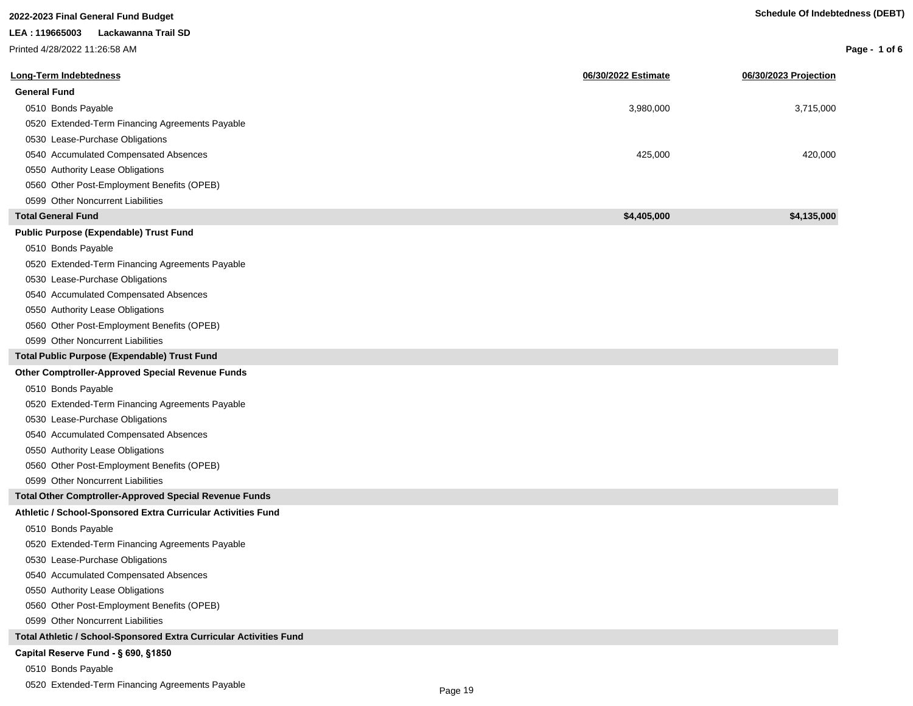| 2022-2023 Final General Fund Budget                                |                     | <b>Schedule Of Indebtedness (DEBT)</b> |               |
|--------------------------------------------------------------------|---------------------|----------------------------------------|---------------|
| LEA: 119665003<br>Lackawanna Trail SD                              |                     |                                        |               |
| Printed 4/28/2022 11:26:58 AM                                      |                     |                                        | Page - 1 of 6 |
| <b>Long-Term Indebtedness</b>                                      | 06/30/2022 Estimate | 06/30/2023 Projection                  |               |
| <b>General Fund</b>                                                |                     |                                        |               |
| 0510 Bonds Payable                                                 | 3,980,000           | 3,715,000                              |               |
| 0520 Extended-Term Financing Agreements Payable                    |                     |                                        |               |
| 0530 Lease-Purchase Obligations                                    |                     |                                        |               |
| 0540 Accumulated Compensated Absences                              | 425,000             | 420,000                                |               |
| 0550 Authority Lease Obligations                                   |                     |                                        |               |
| 0560 Other Post-Employment Benefits (OPEB)                         |                     |                                        |               |
| 0599 Other Noncurrent Liabilities                                  |                     |                                        |               |
| <b>Total General Fund</b>                                          | \$4,405,000         | \$4,135,000                            |               |
| <b>Public Purpose (Expendable) Trust Fund</b>                      |                     |                                        |               |
| 0510 Bonds Payable                                                 |                     |                                        |               |
| 0520 Extended-Term Financing Agreements Payable                    |                     |                                        |               |
| 0530 Lease-Purchase Obligations                                    |                     |                                        |               |
| 0540 Accumulated Compensated Absences                              |                     |                                        |               |
| 0550 Authority Lease Obligations                                   |                     |                                        |               |
| 0560 Other Post-Employment Benefits (OPEB)                         |                     |                                        |               |
| 0599 Other Noncurrent Liabilities                                  |                     |                                        |               |
| Total Public Purpose (Expendable) Trust Fund                       |                     |                                        |               |
| Other Comptroller-Approved Special Revenue Funds                   |                     |                                        |               |
| 0510 Bonds Payable                                                 |                     |                                        |               |
| 0520 Extended-Term Financing Agreements Payable                    |                     |                                        |               |
| 0530 Lease-Purchase Obligations                                    |                     |                                        |               |
| 0540 Accumulated Compensated Absences                              |                     |                                        |               |
| 0550 Authority Lease Obligations                                   |                     |                                        |               |
| 0560 Other Post-Employment Benefits (OPEB)                         |                     |                                        |               |
| 0599 Other Noncurrent Liabilities                                  |                     |                                        |               |
| <b>Total Other Comptroller-Approved Special Revenue Funds</b>      |                     |                                        |               |
| Athletic / School-Sponsored Extra Curricular Activities Fund       |                     |                                        |               |
| 0510 Bonds Payable                                                 |                     |                                        |               |
| 0520 Extended-Term Financing Agreements Payable                    |                     |                                        |               |
| 0530 Lease-Purchase Obligations                                    |                     |                                        |               |
| 0540 Accumulated Compensated Absences                              |                     |                                        |               |
| 0550 Authority Lease Obligations                                   |                     |                                        |               |
| 0560 Other Post-Employment Benefits (OPEB)                         |                     |                                        |               |
| 0599 Other Noncurrent Liabilities                                  |                     |                                        |               |
| Total Athletic / School-Sponsored Extra Curricular Activities Fund |                     |                                        |               |
| Capital Reserve Fund - § 690, §1850                                |                     |                                        |               |

### 0510 Bonds Payable

0520 Extended-Term Financing Agreements Payable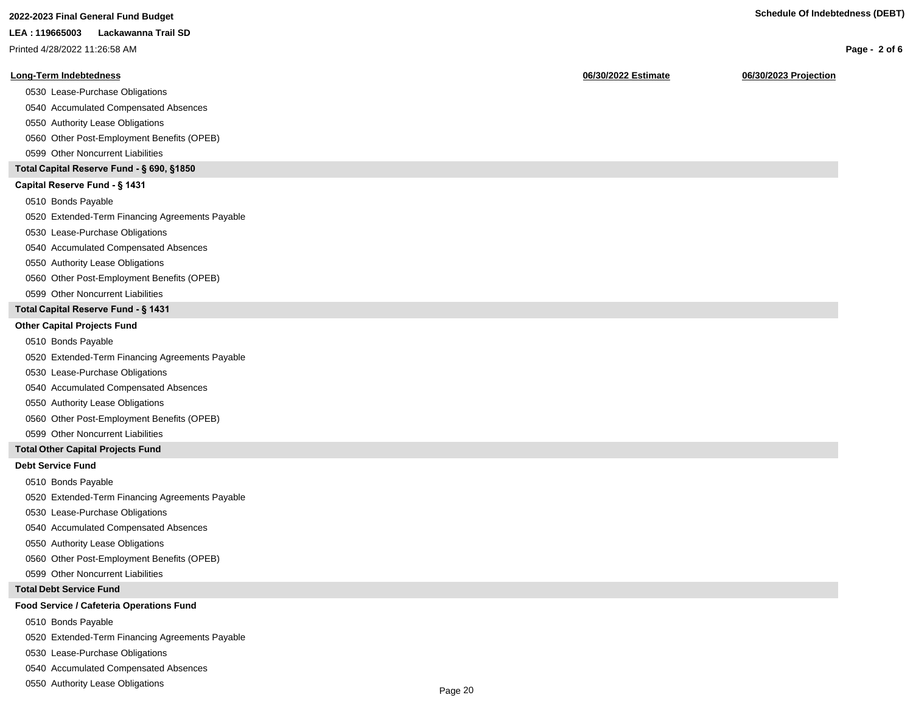| 2022-2023 Final General Fund Budget | <b>Schedule Of Indebtedness (DEBT)</b> |
|-------------------------------------|----------------------------------------|
|-------------------------------------|----------------------------------------|

|  | zuzz-zuzs Finai Generai Fund Budget |  |  |
|--|-------------------------------------|--|--|
|  |                                     |  |  |

#### **LEA : 119665003 Lackawanna Trail SD**

Printed 4/28/2022 11:26:58 AM

#### **Long-Term Indebtedness 06/30/2022 Estimate 06/30/2023 Projection**

0530 Lease-Purchase Obligations

0540 Accumulated Compensated Absences

0550 Authority Lease Obligations

0560 Other Post-Employment Benefits (OPEB)

0599 Other Noncurrent Liabilities

#### **Total Capital Reserve Fund - § 690, §1850**

#### Capital Reserve Fund - § 1431

0510 Bonds Payable

0520 Extended-Term Financing Agreements Payable

0530 Lease-Purchase Obligations

0540 Accumulated Compensated Absences

#### 0550 Authority Lease Obligations

0560 Other Post-Employment Benefits (OPEB)

0599 Other Noncurrent Liabilities

#### **Total Capital Reserve Fund - § 1431**

#### **Other Capital Projects Fund**

0510 Bonds Payable

0520 Extended-Term Financing Agreements Payable

0530 Lease-Purchase Obligations

0540 Accumulated Compensated Absences

0550 Authority Lease Obligations

0560 Other Post-Employment Benefits (OPEB)

0599 Other Noncurrent Liabilities

#### **Total Other Capital Projects Fund**

#### **Debt Service Fund**

0510 Bonds Payable

0520 Extended-Term Financing Agreements Payable

0530 Lease-Purchase Obligations

0540 Accumulated Compensated Absences

0550 Authority Lease Obligations

0560 Other Post-Employment Benefits (OPEB)

0599 Other Noncurrent Liabilities

#### **Total Debt Service Fund**

#### **Food Service / Cafeteria Operations Fund**

0510 Bonds Payable

0520 Extended-Term Financing Agreements Payable

0530 Lease-Purchase Obligations

0540 Accumulated Compensated Absences

0550 Authority Lease Obligations

**Page - 2 of 6**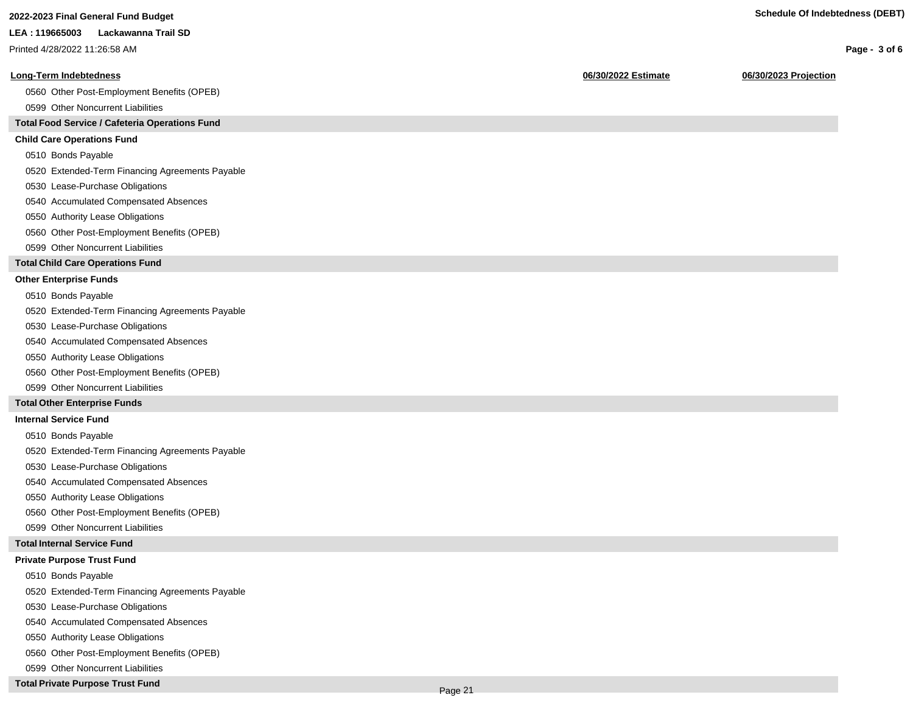**Page - 3 of 6**

#### **LEA : 119665003 Lackawanna Trail SD**

Printed 4/28/2022 11:26:58 AM

#### **Long-Term Indebtedness 06/30/2022 Estimate 06/30/2023 Projection**

0560 Other Post-Employment Benefits (OPEB)

0599 Other Noncurrent Liabilities

#### **Total Food Service / Cafeteria Operations Fund**

#### **Child Care Operations Fund**

0510 Bonds Payable

0520 Extended-Term Financing Agreements Payable

- 0530 Lease-Purchase Obligations
- 0540 Accumulated Compensated Absences
- 0550 Authority Lease Obligations
- 0560 Other Post-Employment Benefits (OPEB)
- 0599 Other Noncurrent Liabilities

#### **Total Child Care Operations Fund**

#### **Other Enterprise Funds**

- 0510 Bonds Payable
- 0520 Extended-Term Financing Agreements Payable
- 0530 Lease-Purchase Obligations
- 0540 Accumulated Compensated Absences
- 0550 Authority Lease Obligations
- 0560 Other Post-Employment Benefits (OPEB)
- 0599 Other Noncurrent Liabilities

#### **Total Other Enterprise Funds**

#### **Internal Service Fund**

- 0510 Bonds Payable
- 0520 Extended-Term Financing Agreements Payable
- 0530 Lease-Purchase Obligations
- 0540 Accumulated Compensated Absences
- 0550 Authority Lease Obligations
- 0560 Other Post-Employment Benefits (OPEB)
- 0599 Other Noncurrent Liabilities

#### **Total Internal Service Fund**

#### **Private Purpose Trust Fund**

- 0510 Bonds Payable
- 0520 Extended-Term Financing Agreements Payable
- 0530 Lease-Purchase Obligations
- 0540 Accumulated Compensated Absences
- 0550 Authority Lease Obligations
- 0560 Other Post-Employment Benefits (OPEB)
- 0599 Other Noncurrent Liabilities

#### **Total Private Purpose Trust Fund**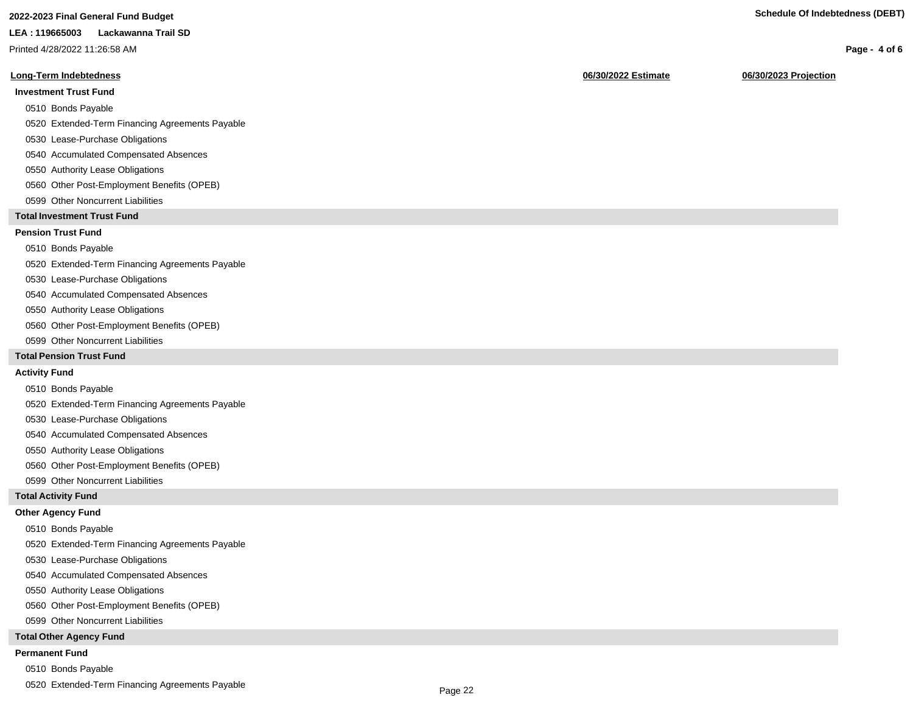### **2022-2023 Final General Fund Budget Schedule Of Indebtedness (DEBT)**

#### **LEA : 119665003 Lackawanna Trail SD**

Printed 4/28/2022 11:26:58 AM

#### **Long-Term Indebtedness 06/30/2022 Estimate 06/30/2023 Projection**

#### **Investment Trust Fund**

- 0510 Bonds Payable
- 0520 Extended-Term Financing Agreements Payable
- 0530 Lease-Purchase Obligations
- 0540 Accumulated Compensated Absences
- 0550 Authority Lease Obligations
- 0560 Other Post-Employment Benefits (OPEB)
- 0599 Other Noncurrent Liabilities

#### **Total Investment Trust Fund**

#### **Pension Trust Fund**

#### 0510 Bonds Payable

- 0520 Extended-Term Financing Agreements Payable
- 0530 Lease-Purchase Obligations
- 0540 Accumulated Compensated Absences
- 0550 Authority Lease Obligations
- 0560 Other Post-Employment Benefits (OPEB)
- 0599 Other Noncurrent Liabilities

#### **Total Pension Trust Fund**

#### **Activity Fund**

- 0510 Bonds Payable
- 0520 Extended-Term Financing Agreements Payable
- 0530 Lease-Purchase Obligations
- 0540 Accumulated Compensated Absences
- 0550 Authority Lease Obligations
- 0560 Other Post-Employment Benefits (OPEB)
- 0599 Other Noncurrent Liabilities

#### **Total Activity Fund**

#### **Other Agency Fund**

- 0510 Bonds Payable
- 0520 Extended-Term Financing Agreements Payable
- 0530 Lease-Purchase Obligations
- 0540 Accumulated Compensated Absences
- 0550 Authority Lease Obligations
- 0560 Other Post-Employment Benefits (OPEB)
- 0599 Other Noncurrent Liabilities

#### **Total Other Agency Fund**

#### **Permanent Fund**

- 0510 Bonds Payable
- 0520 Extended-Term Financing Agreements Payable

**Page - 4 of 6**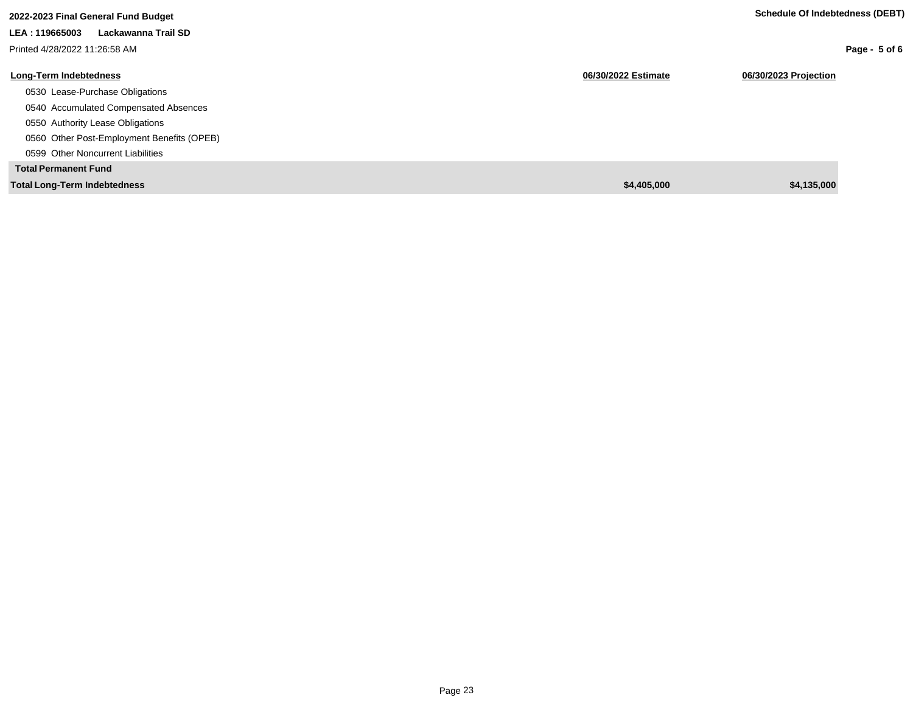| 2022-2023 Final General Fund Budget        |                     | Schedule Of Indebtedness (DEBT) |
|--------------------------------------------|---------------------|---------------------------------|
| Lackawanna Trail SD<br>LEA: 119665003      |                     |                                 |
| Printed 4/28/2022 11:26:58 AM              |                     | Page - 5 of 6                   |
| <b>Long-Term Indebtedness</b>              | 06/30/2022 Estimate | 06/30/2023 Projection           |
| 0530 Lease-Purchase Obligations            |                     |                                 |
| 0540 Accumulated Compensated Absences      |                     |                                 |
| 0550 Authority Lease Obligations           |                     |                                 |
| 0560 Other Post-Employment Benefits (OPEB) |                     |                                 |
| 0599 Other Noncurrent Liabilities          |                     |                                 |
| <b>Total Permanent Fund</b>                |                     |                                 |
| <b>Total Long-Term Indebtedness</b>        | \$4,405,000         | \$4,135,000                     |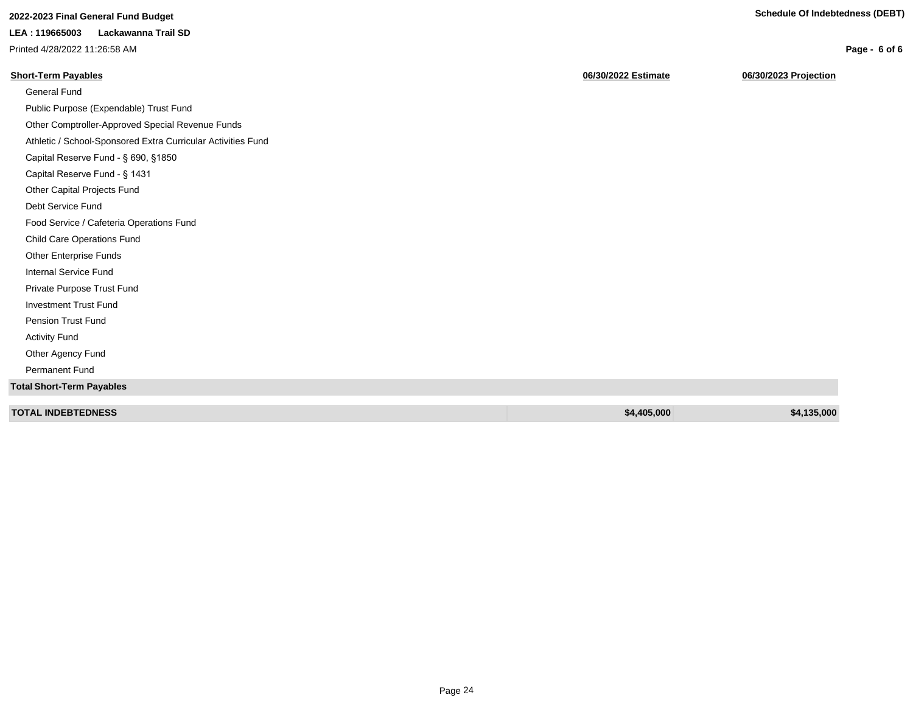**Page - 6 of 6**

## **2022-2023 Final General Fund Budget Schedule Of Indebtedness (DEBT)**

#### **LEA : 119665003 Lackawanna Trail SD**

Printed 4/28/2022 11:26:58 AM

| <b>Short-Term Payables</b>                                   | 06/30/2022 Estimate | 06/30/2023 Projection |
|--------------------------------------------------------------|---------------------|-----------------------|
| General Fund                                                 |                     |                       |
| Public Purpose (Expendable) Trust Fund                       |                     |                       |
| Other Comptroller-Approved Special Revenue Funds             |                     |                       |
| Athletic / School-Sponsored Extra Curricular Activities Fund |                     |                       |
| Capital Reserve Fund - § 690, §1850                          |                     |                       |
| Capital Reserve Fund - § 1431                                |                     |                       |
| Other Capital Projects Fund                                  |                     |                       |
| Debt Service Fund                                            |                     |                       |
| Food Service / Cafeteria Operations Fund                     |                     |                       |
| Child Care Operations Fund                                   |                     |                       |
| Other Enterprise Funds                                       |                     |                       |
| Internal Service Fund                                        |                     |                       |
| Private Purpose Trust Fund                                   |                     |                       |
| <b>Investment Trust Fund</b>                                 |                     |                       |
| <b>Pension Trust Fund</b>                                    |                     |                       |
| <b>Activity Fund</b>                                         |                     |                       |
| Other Agency Fund                                            |                     |                       |
| Permanent Fund                                               |                     |                       |
| <b>Total Short-Term Payables</b>                             |                     |                       |
| <b>TOTAL INDEBTEDNESS</b>                                    | \$4,405,000         | \$4,135,000           |